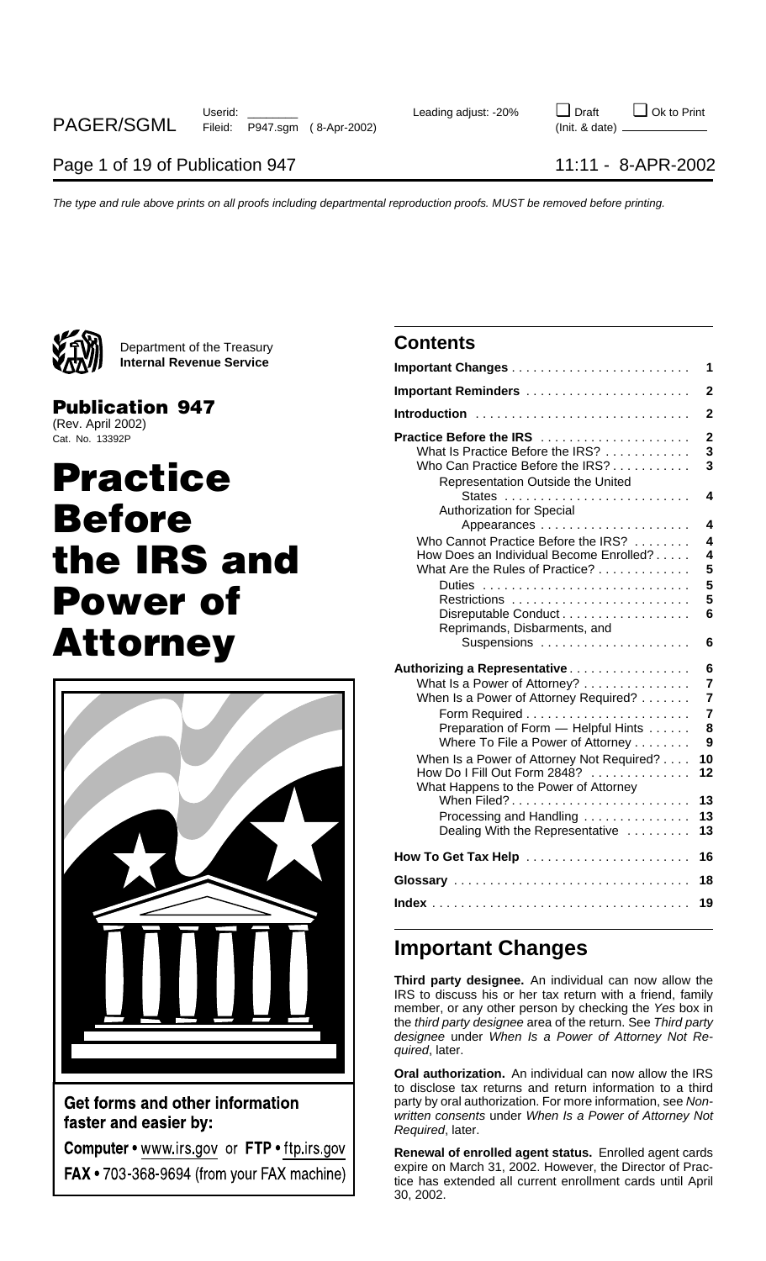

Department of the Treasury **Contents Internal Revenue Service** 

## **Publication 947**

(Rev. April 2002) Cat. No. 13392P

# **Practice Before** the **IRS** and **Power of Attorney**



Get forms and other information faster and easier by:

Computer • www.irs.gov or FTP • ftp.irs.gov **FAX •** 703-368-9694 (from your FAX machine)

|                                                                                                                                                                                                                                                                                                                                                                                      | 1                                                                                  |
|--------------------------------------------------------------------------------------------------------------------------------------------------------------------------------------------------------------------------------------------------------------------------------------------------------------------------------------------------------------------------------------|------------------------------------------------------------------------------------|
| <b>Important Reminders</b>                                                                                                                                                                                                                                                                                                                                                           | $\overline{2}$                                                                     |
| Introduction                                                                                                                                                                                                                                                                                                                                                                         | $\overline{2}$                                                                     |
| Practice Before the IRS<br>What Is Practice Before the IRS?<br>Who Can Practice Before the IRS?<br>Representation Outside the United                                                                                                                                                                                                                                                 | $\mathbf 2$<br>3<br>3                                                              |
| <b>Authorization for Special</b>                                                                                                                                                                                                                                                                                                                                                     | 4<br>4                                                                             |
| Who Cannot Practice Before the IRS?<br>How Does an Individual Become Enrolled?<br>What Are the Rules of Practice?<br>Disreputable Conduct<br>Reprimands, Disbarments, and<br>Suspensions                                                                                                                                                                                             | 4<br>$\overline{\mathbf{4}}$<br>5<br>5<br>5<br>6<br>6                              |
| Authorizing a Representative<br>What Is a Power of Attorney?<br>When Is a Power of Attorney Required?<br>Preparation of Form - Helpful Hints<br>Where To File a Power of Attorney<br>When Is a Power of Attorney Not Required?<br>How Do I Fill Out Form 2848?<br>What Happens to the Power of Attorney<br>When Filed?<br>Processing and Handling<br>Dealing With the Representative | 6<br>7<br>$\overline{7}$<br>$\overline{7}$<br>8<br>9<br>10<br>12<br>13<br>13<br>13 |
| How To Get Tax Help                                                                                                                                                                                                                                                                                                                                                                  | 16                                                                                 |
|                                                                                                                                                                                                                                                                                                                                                                                      | 18                                                                                 |
|                                                                                                                                                                                                                                                                                                                                                                                      | 19                                                                                 |

## **Important Changes**

**Third party designee.** An individual can now allow the IRS to discuss his or her tax return with a friend, family member, or any other person by checking the Yes box in the third party designee area of the return. See Third party designee under When Is a Power of Attorney Not Required, later.

**Oral authorization.** An individual can now allow the IRS to disclose tax returns and return information to a third party by oral authorization. For more information, see Nonwritten consents under When Is a Power of Attorney Not Required, later.

**Renewal of enrolled agent status.** Enrolled agent cards expire on March 31, 2002. However, the Director of Practice has extended all current enrollment cards until April 30, 2002.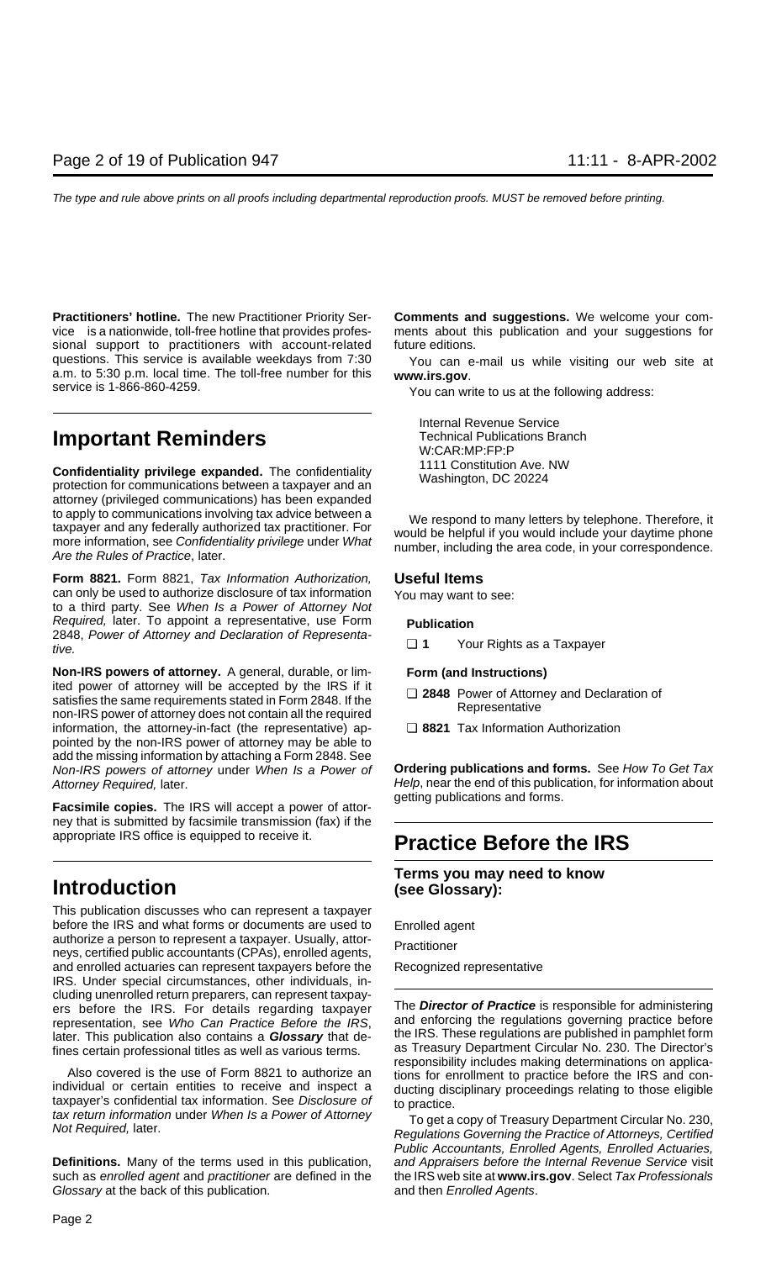**Practitioners' hotline.** The new Practitioner Priority Ser- **Comments and suggestions.** We welcome your comvice ® is a nationwide, toll-free hotline that provides profes- ments about this publication and your suggestions for sional support to practitioners with account-related future editions. questions. This service is available weekdays from 7:30 You can e-mail us while visiting our web site at a.m. to 5:30 p.m. local time. The toll-free number for this www.irs.gov.<br>service is 1-866-860-4259. You can write to

## **Important Reminders** Technical Publications Branch **Important Reminders** W:CAR:MP:FP:P

**Confidentiality privilege expanded.** The confidentiality **and the confidentiality** protection for communications between a taxpayer and an **Washington**, DC 20224 attorney (privileged communications) has been expanded to apply to communications involving tax advice between a<br>taxpayer and any federally authorized tax practitioner. For<br>more information, see Confidentiality privilege under What<br>Are the Rules of Practice, later.

**Form 8821.** Form 8821, Tax Information Authorization, **Useful Items** can only be used to authorize disclosure of tax information You may want to see:<br>to a third party. See When Is a Power of Attorney Not Required, later. To appoint a representative, use Form **Publication** 2848, Power of Attorney and Declaration of Representa- ❏ **<sup>1</sup>** Your Rights as a Taxpayer tive.

**Non-IRS powers of attorney.** A general, durable, or lim- **Form (and Instructions)** ited power of attorney will be accepted by the IRS if it<br>satisfies the same requirements stated in Form 2848. If the<br>non-IRS power of attorney does not contain all the required<br>Representative<br>Representative information, the attorney-in-fact (the representative) ap- ❏ **8821** Tax Information Authorization pointed by the non-IRS power of attorney may be able to add the missing information by attaching a Form 2848. See Non-IRS powers of attorney under When Is a Power of **Ordering publications and forms.** See How To Get Tax

Facsimile copies. The IRS will accept a power of attorney that is submitted by facsimile transmission (fax) if the

## **Introduction (see Glossary):**

This publication discusses who can represent a taxpayer before the IRS and what forms or documents are used to Enrolled agent authorize a person to represent a taxpayer. Usually, attor-<br>neys, certified public accountants (CPAs), enrolled agents, Practitioner and enrolled actuaries can represent taxpayers before the Recognized representative IRS. Under special circumstances, other individuals, including unenrolled return preparers, can represent taxpayers before the IRS. For details regarding taxpayer The **Director of Practice** is responsible for administering<br>representation, see *Who Can Practice Before the IRS* and enforcing the regulations governing practice before representation, see Who Can Practice Before the IRS, later. This publication also contains a **Glossary** that de- the IRS. These regulations are published in pamphlet form

Fines certain professional titles as well as various terms.<br>
Also covered is the use of Form 8821 to authorize an<br>
individual or certain entities to receive and inspect a<br>
taxpayer's confidential tax information. See Discl

**Definitions.** Many of the terms used in this publication, and Appraisers before the Internal Revenue Service visit such as enrolled agent and practitioner are defined in the the IRS web site at **www.irs.gov**. Select Tax Professionals Glossary at the back of this publication. The and then Enrolled Agents.

Internal Revenue Service

- 
- 

Attorney Required, later.<br>
Attorney Required, later.<br>  $\begin{array}{c}\n\text{detting publications and forms.} \\
\text{detting publications and forms.}\n\end{array}$ 

## appropriate IRS office is equipped to receive it. **Practice Before the IRS**

## **Terms you may need to know**

Public Accountants, Enrolled Agents, Enrolled Actuaries,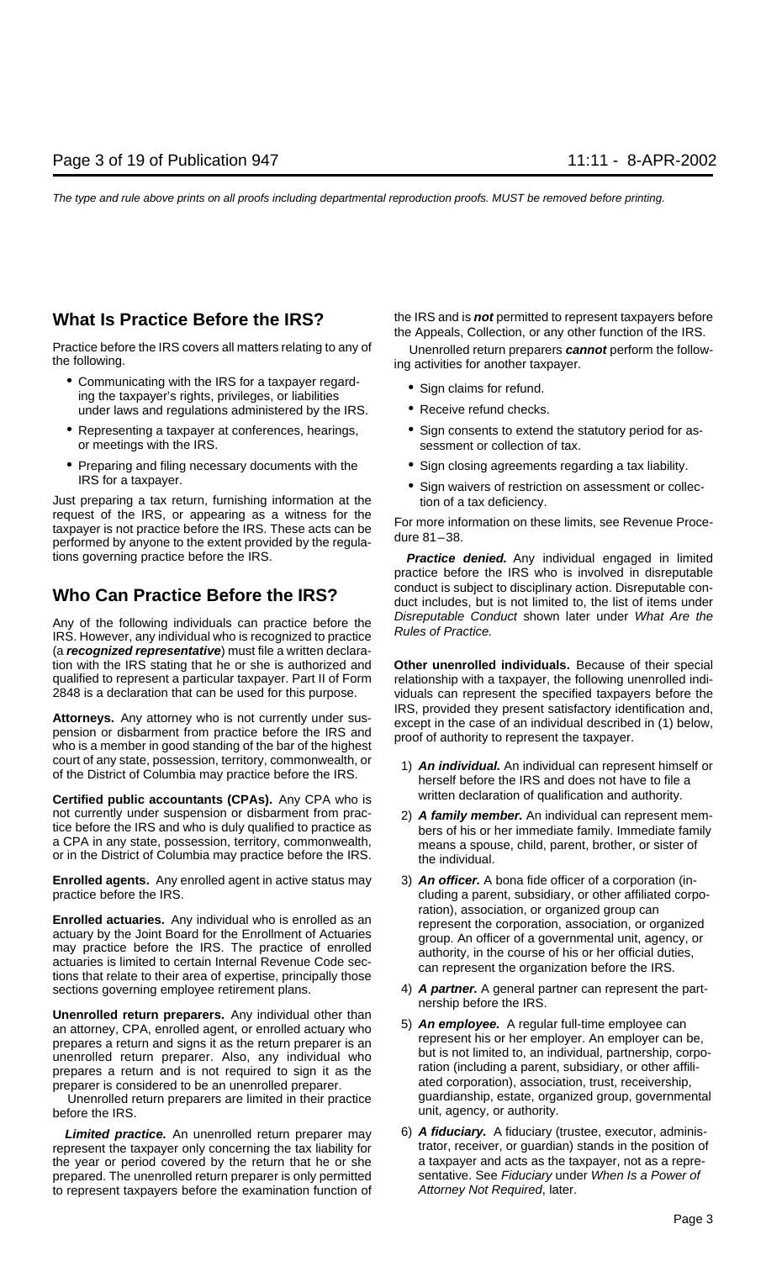- Communicating with the IRS for a taxpayer regard- Sign claims for refund. ing the taxpayer's rights, privileges, or liabilities under laws and regulations administered by the IRS.  $\bullet$  Receive refund checks.
- or meetings with the IRS. sessment or collection of tax.
- Preparing and filing necessary documents with the Sign closing agreements regarding a tax liability.<br>IRS for a taxpayer.

Just preparing a tax return, furnishing information at the tion of a tax deficiency.<br>request of the IRS, or appearing as a witness for the taxpayer is not practice before the IRS. These acts can be<br>performed by anyone to the extent provided by the regula-<br>performed by anyone to the extent provided by the regula-<br>dure 81-38.

(a **recognized representative**) must file a written declaration with the IRS stating that he or she is authorized and **Other unenrolled individuals.** Because of their special qualified to represent a particular taxpayer. Part II of Form relationship with a taxpayer, the following unenrolled indi-

court of any state, possession, territory, commonwealth, or <br>of the District of Columbia may practice before the IRS.<br>herself before the IRS and does not have to file a

**Certified public accountants (CPAs).** Any CPA who is written declaration of qualification and authority. not currently under suspension or disbarment from prac-<br>tice before the IRS and who is duly qualified to practice as<br>a CPA in any state, possession, territory, commonwealth,<br>or in the District of Columbia may practice befo

**Enrolled agents.** Any enrolled agent in active status may 3) **An officer.** A bona fide officer of a corporation (in-

**Enrolled actuaries.** Any individual who is enrolled as an actuary by the Joint Board for the Enrollment of Actuaries<br>
may practice before the IRS. The practice of enrolled actuaries is limited to certain Internal Revenue sections governing employee retirement plans. 4) **A partner.** A general partner can represent the part-

**Unenrolled return preparers.** Any individual other than<br>an attorney, CPA, enrolled agent, or enrolled actuary who<br>prepares a return and signs it as the return preparer is an<br>unenrolled return preparer. Also, any individua

Unenrolled return preparers are limited in their practice before the IRS **before** the IRS **unit, agency, or authority.** 

represent the taxpayer only concerning the tax liability for trator, receiver, or guardian) stands in the position of the vear or period covered by the return that he or she a taxpayer and acts as the taxpayer, not as a re the year or period covered by the return that he or she prepared. The unenrolled return preparer is only permitted sentative. See Fiduciary under When Is a Power of to represent taxpayers before the examination function of Attorney Not Required, later.

**What Is Practice Before the IRS?** the IRS and is **not** permitted to represent taxpayers before the Appeals, Collection, or any other function of the IRS.

Practice before the IRS covers all matters relating to any of Unenrolled return preparers **cannot** perform the follow-<br>the following.

- 
- 
- Representing a taxpayer at conferences, hearings,  $\bullet$  Sign consents to extend the statutory period for as-
	-
	- Sign waivers of restriction on assessment or collec-

tions governing practice before the IRS. **Practice denied.** Any individual engaged in limited practice before the IRS who is involved in disreputable **Who Can Practice Before the IRS?** conduct is subject to disciplinary action. Disreputable con-<br>duct includes, but is not limited to, the list of items under Any of the following individuals can practice before the *Disreputable Conduct* shown later under What Are the IRS. However, any individual who is recognized to practice Rules of Practice.

2848 is a declaration that can be used for this purpose. viduals can represent the specified taxpayers before the **Attorneys.** Any attorney who is not currently under sus-<br>pension or disbarment from practice before the IRS and<br>who is a member in good standing of the bar of the highest<br>who is a member in good standing of the bar of the

- 
- 
- practice before the IRS. The IRS and the IRS and the IRS and the IRS and the IRS and the IRS and the IRS and the IRS and the IRS and the IRS and the IRS and the IRS and the IRS and the IRS and the IRS and the IRS and the I
	- nership before the IRS.
- prepares a return and is not required to sign it as the ration (including a parent, subsidiary, or other affili-<br>preparer is considered to be an unenrolled preparer.<br>Unenrolled return preparers are limited in their practic
	- Limited practice. An unenrolled return preparer may 6) A fiduciary. A fiduciary (trustee, executor, adminis-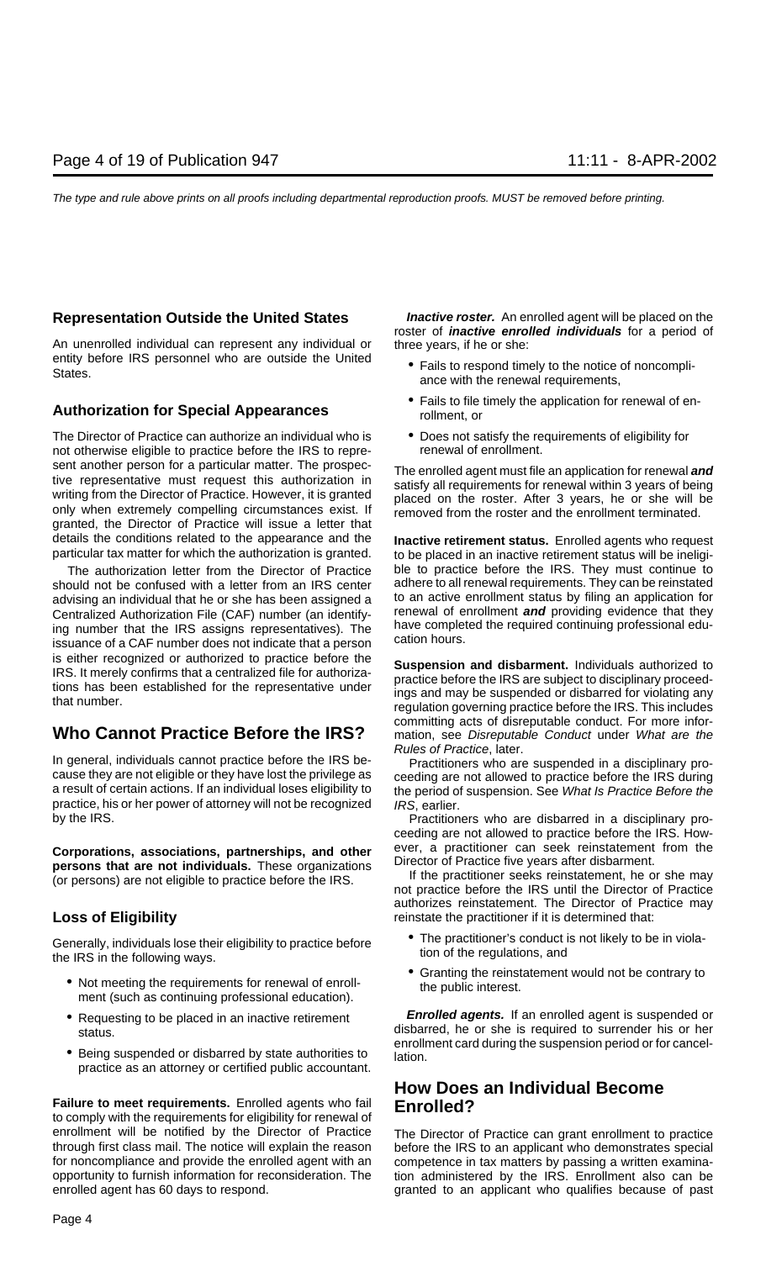An unenrolled individual can represent any individual or three years, if he or she: entity before IRS personnel who are outside the United • Fails to respond timely to the notice of noncompli-<br>States. ance with the renewal requirements,

The Director of Practice can authorize an individual who is  $\bullet$  Does not satisfy the requirements of eligibility for not otherwise eligibility for not otherwise eligibility for not otherwise eligible to practice before th not otherwise eligible to practice before the IRS to represent another person for a particular matter. The prospective interest this authorization in<br>tive representative must request this authorization in<br>writing from the Director of Practice. However, it is granted<br>only when ext granted, the Director of Practice will issue a letter that details the conditions related to the appearance and the **Inactive retirement status.** Enrolled agents who request

should not be confused with a letter from an IRS center adhere to all renewal requirements. They can be reinstated<br>advising an individual that he or she has been assigned a sto an active enrollment status by filing an appl advising an individual that he or she has been assigned a to an active enrollment status by filing an application for<br>Centralized Authorization File (CAF) number (an identify-<br>renewal of enrollment and providing evidence t Centralized Authorization File (CAF) number (an identify- renewal of enrollment **and** providing evidence that they ing number that the IRS assigns representatives). The nave complet issuance of a CAF number does not indicate that a person cation hours. is either recognized or authorized to practice before the<br>IRS. It merely confirms that a centralized file for authoriza-<br>tions has been established for the representative under<br>that number.<br>that number.<br>regulation governin

In general, individuals cannot practice before the IRS be-<br>cause they are not eligible or they have lost the privilege as<br>a result of certain actions. If an individual loses eligibility to<br>the period of suspension. See Wha practice, his or her power of attorney will not be recognized IRS, earlier.

persons that are not individuals. These organizations<br>(or persons) are not eligible to practice before the IRS.<br>not practice before the IRS until the Director of Practice

Generally, individuals lose their eligibility to practice before **The practitioner's conduct is not likely to be in violation**<br>tion of the regulations, and<br>tion of the regulations, and

- Not meeting the requirements for renewal of enroll-<br>ment (such as continuing professional education).<br>ment (such as continuing professional education).
- 
- Being suspended or disbarred by state authorities to lation. practice as an attorney or certified public accountant.

**Failure to meet requirements.** Enrolled agents who fail **Enrolled?**<br>to comply with the requirements for eligibility for renewal of enrollment will be notified by the Director of Practice The Director of Practice can grant enrollment to practice through first class mail. The notice will explain the reason before the IRS to an applicant who demonstrates special for noncompliance and provide the enrolled agent with an competence in tax matters by passing a written examinaopportunity to furnish information for reconsideration. The tion administered by the IRS. Enrollment also can be enrolled agent has 60 days to respond. The section of granted to an applicant who qualifies because of past

**Representation Outside the United States <b>Inactive roster.** An enrolled agent will be placed on the roster of **inactive enrolled individuals** for a period of

- 
- Fails to file timely the application for renewal of en- **Authorization for Special Appearances** rollment, or
	-

particular tax matter for which the authorization is granted. to be placed in an inactive retirement status will be ineligi-The authorization letter from the Director of Practice ble to practice before the IRS. They must continue to und not be reinstated build not be confused with a letter from an IRS center adhere to all renewal requirements.

committing acts of disreputable conduct. For more infor-**Who Cannot Practice Before the IRS?** mation, see Disreputable Conduct under What are the

the period of suspension. See What Is Practice Before the

by the IRS. **Practitioners** who are disbarred in a disciplinary proceeding are not allowed to practice before the IRS. How-**Corporations, associations, partnerships, and other** ever, a practitioner can seek reinstatement from the nersons that are not individuals. These organizations

authorizes reinstatement. The Director of Practice may **Loss of Eligibility reinstate the practitioner if it is determined that:** 

- 
- 

• Requesting to be placed in an inactive retirement **Enrolled agents.** If an enrolled agent is suspended or disbarred, he or she is required to surrender his or her status.<br>
enrollment card during the suspension period or for cancel-

# **How Does an Individual Become**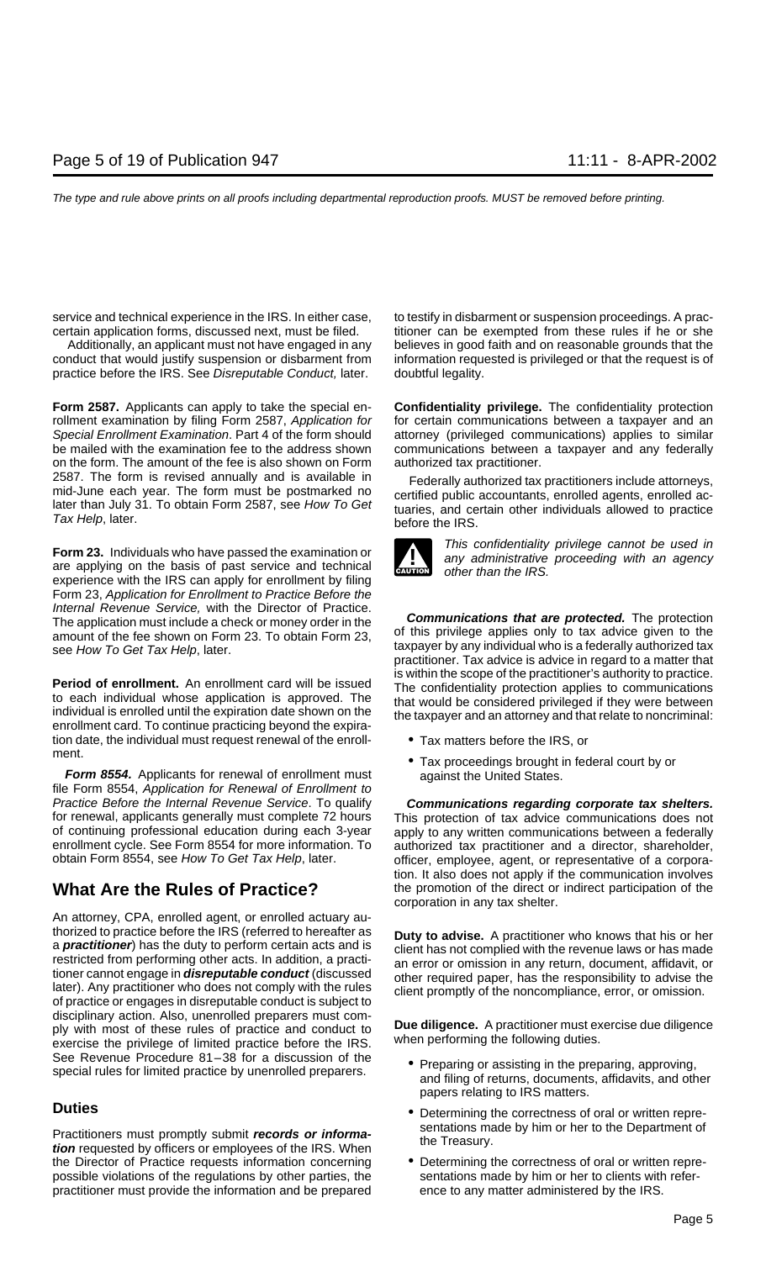conduct that would justify suspension or disbarment from information requested is privileged or that the request is of practice before the IRS. See Disreputable Conduct, later. doubtful legality.

**Form 2587.** Applicants can apply to take the special en- **Confidentiality privilege.** The confidentiality protection rollment examination by filing Form 2587, Application for for certain communications between a taxpayer and an Special Enrollment Examination. Part 4 of the form should attorney (privileged communications) applies to similar be mailed with the examination fee to the address shown communications between a taxpayer and any federally on the form. The amount of the fee is also shown on Form authorized tax practitioner. on the form. The amount of the fee is also shown on Form 2587. The form is revised annually and is available in Federally authorized tax practitioners include attorneys, mid-June each year. The form must be postmarked no later than July 31. To obtain Form 2587, see How To Get tu

experience with the IRS can apply for enrollment by filing Form 23, Application for Enrollment to Practice Before the Internal Revenue Service, with the Director of Practice.

**Period of enrollment.** An enrollment card will be issued<br>to each individual whose application is approved. The confidentiality protection applies to communications<br>individual is enrolled until the expiration date shown on tion date, the individual must request renewal of the enroll-<br>ment.

Form 8554. Applicants for renewal of enrollment must against the United States. file Form 8554, Application for Renewal of Enrollment to Practice Before the Internal Revenue Service. To qualify **Communications regarding corporate tax shelters.** for renewal, applicants generally must complete 72 hours This protection of tax advice communications does not<br>of continuing professional education during each 3-year apply to any written communications between a federally of continuing professional education during each 3-year apply to any written communications between a federally<br>The apply to any written communications and a directors between a federally encounted to a director, sharehold enrollment cycle. See Form 8554 for more information. To authorized tax practitioner and a director, shareholder, obtain Form 8554, see How To Get Tax Help, later. confineer, employee, agent, or representative of a corpora

An attorney, CPA, enrolled agent, or enrolled actuary authorized to practice before the IRS (referred to hereafter as **Duty to advise.** A practitioner who knows that his or her a **practitioner**) has the duty to perform certain acts and is<br>restricted from performing other acts. In addition, a practi-<br>tioner cannot engage in **disreputable conduct** (discussed<br>later). Any practitioner who does not co disciplinary action. Also, unenrolled preparers must com-<br>ply with most of these rules of practice and conduct to<br>exercise the privilege of limited practice before the IRS. When performing the following duties. See Revenue Procedure 81–38 for a discussion of the • Preparing or assisting in the preparing, approving, special rules for limited practice by unenrolled preparers. <br>and filing of returns, documents, affidavits, and other

sentations made by him or her to the Department of Practitioners must promptly submit **records or informa-** the Treasury. **tion** requested by officers or employees of the IRS. When the Director of Practice requests information concerning • Determining the correctness of oral or written reprepossible violations of the regulations by other parties, the sentations made by him or her to clients with referpractitioner must provide the information and be prepared ence to any matter administered by the IRS.

service and technical experience in the IRS. In either case, to testify in disbarment or suspension proceedings. A praccertain application forms, discussed next, must be filed. titioner can be exempted from these rules if he or she Additionally, an applicant must not have engaged in any believes in good faith and on reasonable grounds that the



Form 23. Individuals who have passed the examination or<br>are applying on the basis of past service and technical any administrative proceeding with an agency<br>other than the IRS.

The application must include a check or money order in the<br>amount of the fee shown on Form 23. To obtain Form 23,<br>see How To Get Tax Help, later.<br>The application must include a check or money order in the<br>see How To Get Ta

- 
- Tax proceedings brought in federal court by or

officer, employee, agent, or representative of a corporation. It also does not apply if the communication involves **What Are the Rules of Practice?** the promotion of the direct or indirect participation of the corporation in any tax shelter.

- papers relating to IRS matters.
- **Duties •** Determining the correctness of oral or written repre-
	-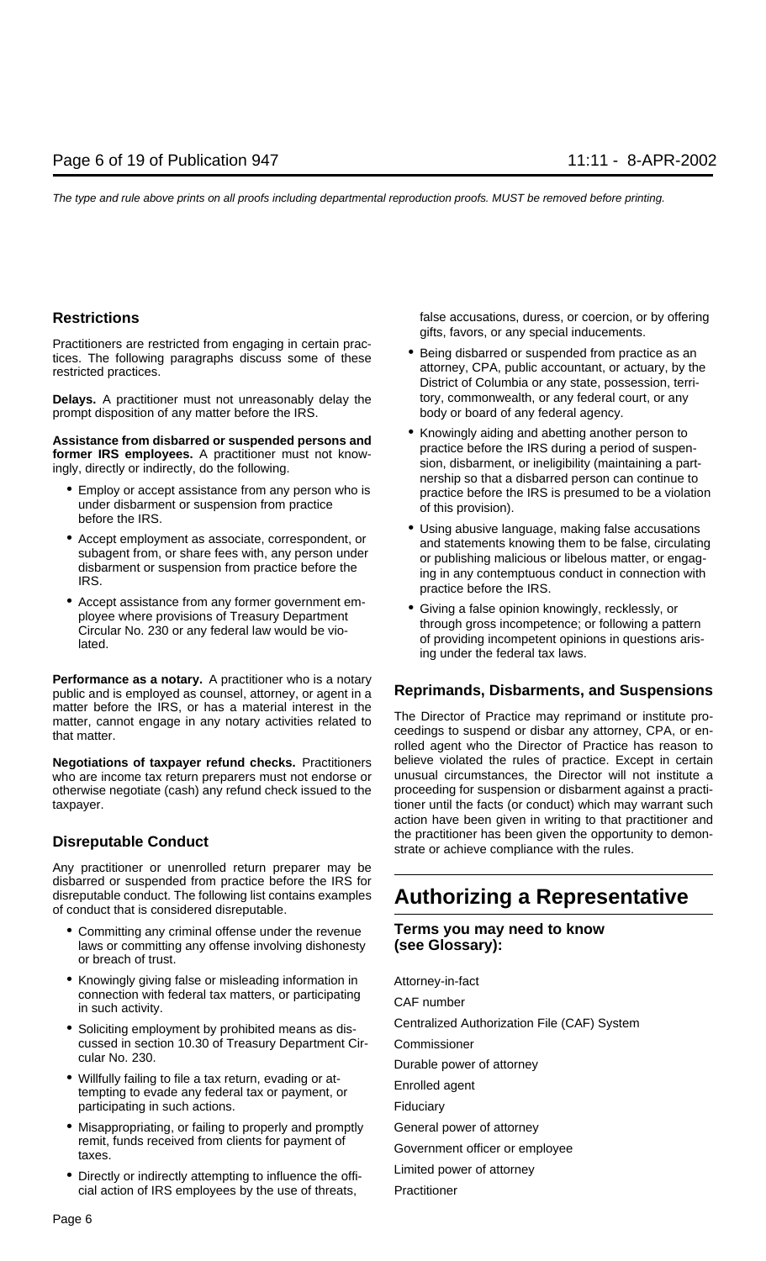Practitioners are restricted from engaging in certain prac-<br>tices. The following paragraphs discuss some of these<br>restricted practices.<br>District of Columbia or any state, possession, terri-

**Delays.** A practitioner must not unreasonably delay the tory, commonwealth, or any federal court, or any prompt disposition of any matter before the IRS. body or board of any federal agency.

- 
- 
- Accept assistance from any former government em-<br>ployee where provisions of Treasury Department<br>Circular No. 230 or any federal law would be vio-<br>lated. late of providing incompetent opinions in questions aris-

**Performance as a notary.** A practitioner who is a notary public and is employed as counsel, attorney, or agent in a **Reprimands, Disbarments, and Suspensions** matter before the IRS, or has a material interest in the<br>matter, cannot engage in any notary activities related to<br>that matter.<br>ceedings to suspend or disbar any attorney, CPA, or en-<br>readings to suspend or disbar any atto

who are income tax return preparers must not endorse or unusual circumstances, the Director will not institute a<br>otherwise negotiate (cash) any refund check issued to the proceeding for suspension or disbarment against a p otherwise negotiate (cash) any refund check issued to the taxpayer. the state of the facts (or conduct) which may warrant such the facts (or conduct) which may warrant such

Any practitioner or unenrolled return preparer may be disbarred or suspended from practice before the IRS for disreputable conduct. The following list contains examples **Authorizing a Representative** of conduct that is considered disreputable.

- Committing any criminal offense under the revenue **Terms you may need to know**<br>laws or committing any offense involving dishonesty (see Glossary): laws or committing any offense involving dishonesty or breach of trust.
- Knowingly giving false or misleading information in Attorney-in-fact connection with federal tax matters, or participating CAF number<br>in such activity.
- cussed in section 10.30 of Treasury Department Cir- Commissioner cular No. 230. Durable power of attorney
- Willfully failing to file a tax return, evading or at- Enrolled agent tempting to evade any federal tax or payment, or participating in such actions. The state of the state of Fiduciary
- Misappropriating, or failing to properly and promptly General power of attorney remit, funds received from clients for payment of Government officer or employee<br>taxes.
- Directly or indirectly attempting to influence the offi-<br> cial action of IRS employees by the use of threats, Practitioner

**Restrictions** *Restrictions Restrictions Restrictions Restrictions Restrictions Restrictions Restrictions Restrictions Restrictions Restrictions Restrictions Restrictions R* gifts, favors, or any special inducements.

- 
- Assistance from disbarred or suspended persons and<br>
former IRS employees. A practitioner must not know-<br>
ingly, directly or indirectly, do the following.<br>
 Employ or accept assistance from any person who is<br>
under disbar
	-
	- ing under the federal tax laws.

rolled agent who the Director of Practice has reason to **Negotiations of taxpayer refund checks.** Practitioners believe violated the rules of practice. Except in certain who are income tax return preparers must not endorse or unusual circumstances, the Director will not institu action have been given in writing to that practitioner and **Disreputable Conduct Disreputable Conduct Strate of the practitioner has been given the opportunity to demon-**<br>strate or achieve compliance with the rules.

• Soliciting employment by prohibited means as dis-<br>Centralized Authorization File (CAF) System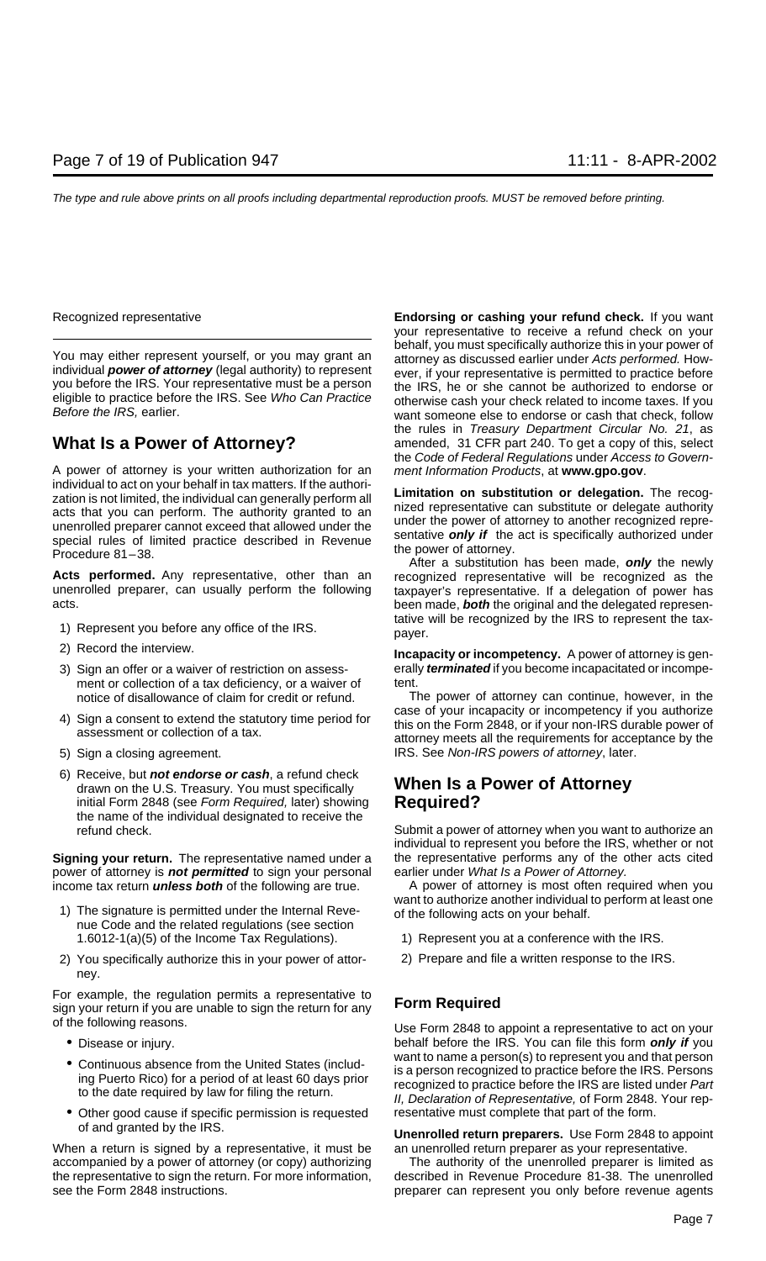A power of attorney is your written authorization for an ment Information Products, at **www.gpo.gov**. individual to act on your behalf in tax matters. If the authori-<br>zation is not limited, the individual can generally perform all<br>acts that you can perform. The authority granted to an<br>unenrolled preparer cannot exceed that

Acts performed. Any representative, other than an recognized representative will be recognized as the unenrolled preparer, can usually perform the following taxpayer's representative. If a delegation of power has acts. been made, **both** the original and the delegated represen-

- 
- 
- ment or collection of a tax deficiency, or a waiver of
- 
- 
- 6) Receive, but **not endorse or cash**, a refund check drawn on the U.S. Treasury. You must specifically **When Is a Power of Attorney** initial Form 2848 (see Form Required, later) showing **Required?** the name of the individual designated to receive the

**Signing your return.** The representative named under a the representative performs any of the other acts cited power of attorney is **not permitted** to sign your personal earlier under What Is a Power of Attorney. income tax return **unless both** of the following are true. A power of attorney is most often required when you

- 1.6012-1(a)(5) of the Income Tax Regulations). 1) Represent you at a conference with the IRS.
- 2) You specifically authorize this in your power of attor- 2) Prepare and file a written response to the IRS. ney.

For example, the regulation permits a representative to **Form Required** sign your return if you are unable to sign the return for any of the following reasons. Use Form 2848 to appoint a representative to act on your

- 
- 
- Other good cause if specific permission is requested resentative must complete that part of the form.

When a return is signed by a representative, it must be an unenrolled return preparer as your representative. accompanied by a power of attorney (or copy) authorizing The authority of the unenrolled preparer is limited as the representative to sign the return. For more information, described in Revenue Procedure 81-38. The unenrolled see the Form 2848 instructions. **preparer can represent you only before revenue agents** 

Recognized representative **Endorsing or cashing your refund check.** If you want your representative to receive a refund check on your behalf, you must specifically authorize this in your power of<br>You may either represent yourself, or you may grant an attorney as discussed earlier under Acts performed. How-<br>individual **power of attorney** (legal authority) Individual **power of attorney** (legal authority) to represent<br>you before the IRS. Your representative must be a person<br>eligible to practice before the IRS. See Who Can Practice<br>Before the iRS, he or she cannot be authorize the rules in Treasury Department Circular No. 21, as **What Is a Power of Attorney?** amended, 31 CFR part 240. To get a copy of this, select the Code of Federal Regulations under Access to Govern-

taxpayer's representative. If a delegation of power has 1) Represent you before any office of the IRS.<br>payer.

2) Record the interview. **Incapacity or incompetency.** A power of attorney is gen-3) Sign an offer or a waiver of restriction on assess-<br>ment or collection of a tax deficiency or a waiver of tent.

notice of disallowance of claim for credit or refund. The power of attorney can continue, however, in the 4) Sign a consent to extend the statutory time period for<br>assessment or collection of a tax.<br>assessment or collection of a tax.<br>attorney meets all the requirements for acceptance by the 5) Sign a closing agreement. The same state of all states are set of all states of attorney, later.

refund check. Submit a power of attorney when you want to authorize an individual to represent you before the IRS, whether or not

want to authorize another individual to perform at least one<br>1) The signature is permitted under the Internal Reve-<br>nue Code and the related regulations (see section

- 
- 

• Disease or injury. behalf before the IRS. You can file this form **only if** you • Continuous absence from the United States (includ-<br>ing Puerto Rico) for a period of at least 60 days prior<br>to the date required by law for filing the return.<br>II, Declaration of Representative, of Form 2848. Your rep-

of and granted by the IRS. **Unenrolled return preparers.** Use Form 2848 to appoint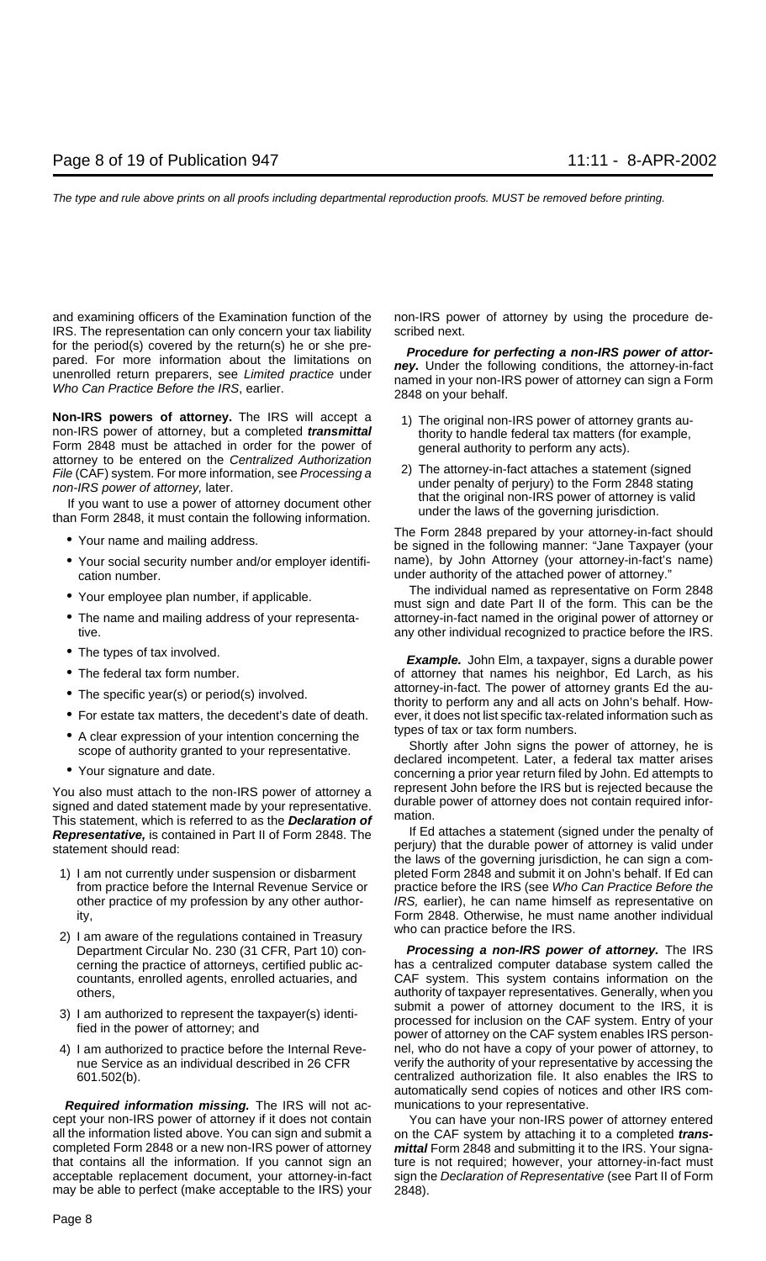and examining officers of the Examination function of the non-IRS power of attorney by using the procedure de-IRS. The representation can only concern your tax liability scribed next. for the period(s) covered by the return(s) he or she pre-<br>pared. For more information about the limitations on<br>unenrolled return preparers, see *Limited practice* under<br>Who Can Practice Before the IRS, earlier.<br>2848 on you

**Non-IRS powers of attorney.** The IRS will accept a<br>non-IRS power of attorney grants au-<br>non-IRS power of attorney, but a completed **transmittal**<br>Form 2848 must be attached in order for the power of<br>attorney to be entered

- 
- cation number. under authority of the attached power of attorney."
- 
- 
- 
- 
- 
- 
- 
- 

You also must attach to the non-IRS power of attorney a<br>signed and dated statement made by your representative.<br>This statement, which is referred to as the **Declaration of** mation. **Representative,** is contained in Part II of Form 2848. The If Ed attaches a statement (signed under the penalty of statement should read: statement should read: statement should read: statement should read: statement should read

- 
- who can practice before the IRS. 2) I am aware of the regulations contained in Treasury
- 
- 

**Required information missing.** The IRS will not ac- munications to your representative. cept your non-IRS power of attorney if it does not contain You can have your non-IRS power of attorney entered all the information listed above. You can sign and submit a on the CAF system by attaching it to a completed *trans*completed Form 2848 or a new non-IRS power of attorney **mittal** Form 2848 and submitting it to the IRS. Your signathat contains all the information. If you cannot sign an ture is not required; however, your attorney-in-fact must acceptable replacement document, your attorney-in-fact sign the Declaration of Representative (see Part II of Form may be able to perfect (make acceptable to the IRS) your 2848).

- 
- *File* (CAF) system. For more information, see *Processing a*<br>
non-IRS power of attorney, later.<br>
If you want to use a power of attorney document other<br>
than Form 2848, it must contain the following information.<br>
than 600

The Form 2848 prepared by your attorney-in-fact should<br>be signed in the following manner: "Jane Taxpayer (your • Your social security number and/or employer identifi- name), by John Attorney (your attorney-in-fact's name)

The individual named as representative on Form 2848 • Your employee plan number, if applicable.<br>must sign and date Part II of the form. This can be the • The name and mailing address of your representa-<br>attorney-in-fact named in the original power of attorney or tive. any other individual recognized to practice before the IRS.

• The types of tax involved. **Example.** John Elm, a taxpayer, signs a durable power • The federal tax form number.  $\qquad \qquad$  of attorney that names his neighbor, Ed Larch, as his • The specific year(s) or period(s) involved. The specific yearts Ed the au-<br>thority to perform any and all acts on John's behalf. How-• For estate tax matters, the decedent's date of death. ever, it does not list specific tax-related information such as

■ A clear expression of your intention concerning the scope of authority granted to your representative.<br>
■ Shortly after John signs the power of attorney, he is<br>
The scope of authority granted to your representative.<br>
■

the laws of the governing jurisdiction, he can sign a com-1) I am not currently under suspension or disbarment pleted Form 2848 and submit it on John's behalf. If Ed can from practice before the Internal Revenue Service or practice before the IRS (see Who Can Practice Before the other practice of my profession by any other author-<br>
IRS, earlier), he can name himself as representative on ity, Form 2848. Otherwise, he must name another individual

Department Circular No. 230 (31 CFR, Part 10) con- **Processing a non-IRS power of attorney.** The IRS cerning the practice of attorneys, certified public ac- has a centralized computer database system called the countants, enrolled agents, enrolled actuaries, and CAF system. This system contains information on the others, authority of taxpayer representatives. Generally, when you 3) I am authorized to represent the taxpayer(s) identi-<br>fied in the power of attorney; and<br>power of attorney on the CAF system. Entry of your<br>power of attorney on the CAF system enables IRS person-4) I am authorized to practice before the Internal Reve- nel, who do not have a copy of your power of attorney, to nue Service as an individual described in 26 CFR verify the authority of your representative by accessing t verify the authority of your representative by accessing the 601.502(b). centralized authorization file. It also enables the IRS to automatically send copies of notices and other IRS com-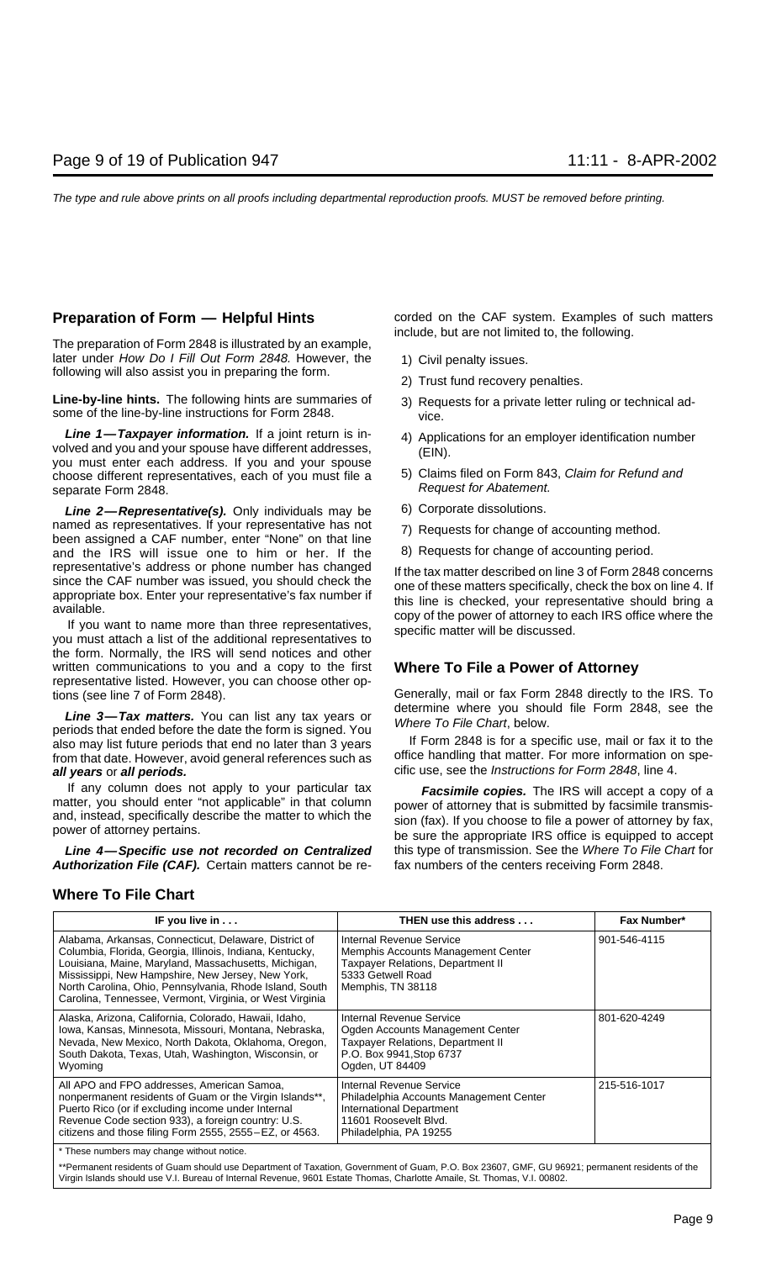The preparation of Form 2848 is illustrated by an example, later under How Do I Fill Out Form 2848. However, the 1) Civil penalty issues. following will also assist you in preparing the form.<br>2) Trust fund recovery penalties.

Line-by-line hints. The following hints are summaries of 3) Requests for a private letter ruling or technical adsome of the line-by-line instructions for Form 2848.

**Line 1—Taxpayer information.** If a joint return is in-<br>volved and you and your spouse have different addresses,<br>you must enter each address. If you and your spouse (EIN).<br>choose different representatives each of you must choose different representatives, each of you must file a separate Form 2848. **Request for Abatement.** Request for Abatement.

Line 2-Representative(s). Only individuals may be 6) Corporate dissolutions. named as representatives. If your representative has not <br>been assigned a CAF number, enter "None" on that line<br>and the IRS will issue one to him or her. If the 8) Requests for change of accounting period. and the IRS will issue one to him or her. If the representative's address or phone number has changed If the tax matter described on line 3 of Form 2848 concerns since the CAF number was issued, you should check the concert and the service inclusion on line 4. If

the form. Normally, the IRS will send notices and other written communications to you and a copy to the first **Where To File a Power of Attorney** representative listed. However, you can choose other options (see line 7 of Form 2848). Generally, mail or fax Form 2848 directly to the IRS. To

**Line 3—Tax matters.** You can list any tax years or<br>periods that ended before the date the form is signed. You<br>also may list future periods that end no later than 3 years life Form 2848 is for a specific use, mail or fax i also may list future periods that end no later than 3 years IF Form 2848 is for a specific use, mail or fax it to the<br>If Form that date However avoid general references such as If office handling that matter. For more info from that date. However, avoid general references such as **all years** or **all periods. all intervally and the Unit of the Instructions for Form 2848, line 4.** 

**Authorization File (CAF).** Certain matters cannot be re- fax numbers of the centers receiving Form 2848.

**Preparation of Form — Helpful Hints** corded on the CAF system. Examples of such matters include, but are not limited to, the following.

- 
- 
- 
- 
- 
- 
- 
- 

since the CAF number was issued, you should check the<br>appropriate box. Enter your representative's fax number if<br>available.<br>If you want to name more than three representatives,<br>you must attach a list of the additional repr

If any column does not apply to your particular tax<br>matter, you should enter "not applicable" in that column<br>and, instead, specifically describe the matter to which the<br>power of attorney that is submitted by facsimile tran **Line 4—Specific use not recorded on Centralized** this type of transmission. See the Where To File Chart for

### **Where To File Chart**

| IF you live in                                                                                                                                                                                                                                                                                                                                        | THEN use this address                                                                                                                                     | Fax Number*  |
|-------------------------------------------------------------------------------------------------------------------------------------------------------------------------------------------------------------------------------------------------------------------------------------------------------------------------------------------------------|-----------------------------------------------------------------------------------------------------------------------------------------------------------|--------------|
| Alabama, Arkansas, Connecticut, Delaware, District of<br>Columbia, Florida, Georgia, Illinois, Indiana, Kentucky,<br>Louisiana, Maine, Maryland, Massachusetts, Michigan,<br>Mississippi, New Hampshire, New Jersey, New York,<br>North Carolina, Ohio, Pennsylvania, Rhode Island, South<br>Carolina, Tennessee, Vermont, Virginia, or West Virginia | Internal Revenue Service<br>Memphis Accounts Management Center<br><b>Taxpayer Relations, Department II</b><br>5333 Getwell Road<br>Memphis, TN 38118      | 901-546-4115 |
| Alaska, Arizona, California, Colorado, Hawaii, Idaho,<br>Iowa, Kansas, Minnesota, Missouri, Montana, Nebraska,<br>Nevada, New Mexico, North Dakota, Oklahoma, Oregon,<br>South Dakota, Texas, Utah, Washington, Wisconsin, or<br>Wyoming                                                                                                              | Internal Revenue Service<br>Ogden Accounts Management Center<br><b>Taxpayer Relations, Department II</b><br>P.O. Box 9941, Stop 6737<br>Ogden, UT 84409   | 801-620-4249 |
| All APO and FPO addresses, American Samoa,<br>nonpermanent residents of Guam or the Virgin Islands**,<br>Puerto Rico (or if excluding income under Internal<br>Revenue Code section 933), a foreign country: U.S.<br>citizens and those filing Form 2555, 2555-EZ, or 4563.                                                                           | Internal Revenue Service<br>Philadelphia Accounts Management Center<br><b>International Department</b><br>11601 Roosevelt Blvd.<br>Philadelphia, PA 19255 | 215-516-1017 |
| * These numbers may change without notice.                                                                                                                                                                                                                                                                                                            |                                                                                                                                                           |              |

\*\*Permanent residents of Guam should use Department of Taxation, Government of Guam, P.O. Box 23607, GMF, GU 96921; permanent residents of the Virgin Islands should use V.I. Bureau of Internal Revenue, 9601 Estate Thomas, Charlotte Amaile, St. Thomas, V.I. 00802.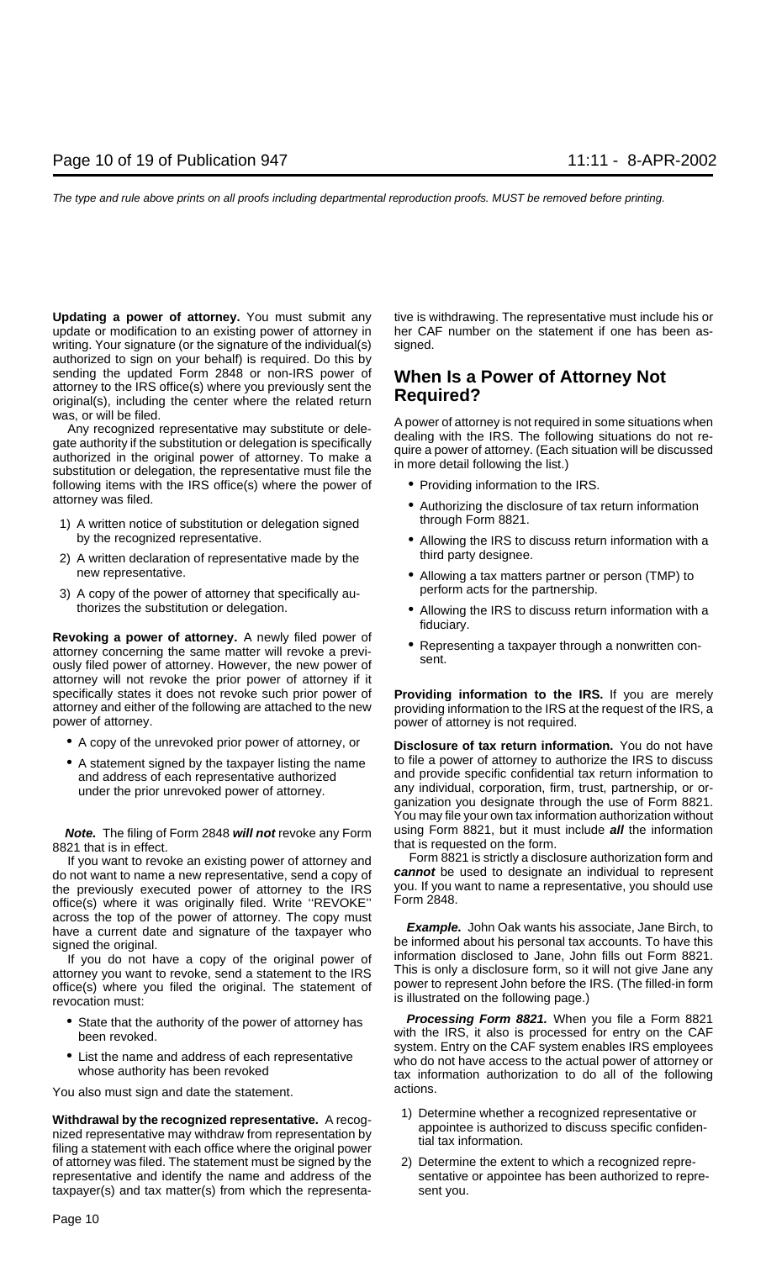**Updating a power of attorney.** You must submit any tive is withdrawing. The representative must include his or update or modification to an existing power of attorney in her CAF number on the statement if one has been aswriting. Your signature (or the signature of the individual(s) signed. authorized to sign on your behalf) is required. Do this by sending the updated Form 2848 or non-IRS power of **When Is a Power of Attorney Not** attorney to the IRS office(s) where you previously sent the **Required?** original(s), including the center where the related return

was, or will be filed.<br>
Any recognized representative may substitute or dele-<br>
authority if the substitution or delegation is specifically<br>
authorized in the original power of attorney. To make a<br>
substitution or delegatio following items with the IRS office(s) where the power of • Providing information to the IRS.

- 1) A written notice of substitution or delegation signed through Form 8821. by the recognized representative. • • Allowing the IRS to discuss return information with a
- 2) A written declaration of representative made by the third party designee.
- 3) A copy of the power of attorney that specifically au-

**Revoking a power of attorney.** A newly filed power of<br>attorney concerning the same matter will revoke a previ-<br>ously filed power of attorney. However, the new power of sent. attorney will not revoke the prior power of attorney if it specifically states it does not revoke such prior power of **Providing information to the IRS.** If you are merely attorney and either of the following are attached to the new providing information to the IRS at the request of the IRS, a power of attorney. power of attorney is not required.

- 
- 

8821 that is in effect.<br>If you want to revoke an existing power of attorney and Form 8821 is strictly a disclosure authorization form and

do not want to name a new representative, send a copy of **cannot** be used to designate an individual to represent the previously executed power of attorney to the IRS you. If you v<br>office(s) where it was originally filed Write "BEVOKE" Form 2848. office(s) where it was originally filed. Write "REVOKE"

attorney you want to revoke, send a statement to the IRS This is only a disclosure form, so it will not give Jane any<br>office(s) where you filed the original. The statement of power to represent John before the IRS. (The fi is illustrated on the following page.) revocation must:

- 
- 

You also must sign and date the statement. The actions.

**Withdrawal by the recognized representative.** A recog-<br>nized representative may withdraw from representation by<br>filing a statement with each office where the original power<br>filing a statement with each office where the or of attorney was filed. The statement must be signed by the 2) Determine the extent to which a recognized reprerepresentative and identify the name and address of the sentative or appointee has been authorized to repretaxpayer(s) and tax matter(s) from which the representa- sent you.

- 
- attorney was filed.  **Authorizing the disclosure of tax return information** 
	-
	- new representative.<br>A copy of the power of attorney that specifically au-<br>perform acts for the partnership.
	- thorizes the substitution or delegation.  $\bullet$  Allowing the IRS to discuss return information with a fiduciary.
		-

• A copy of the unrevoked prior power of attorney, or **Disclosure of tax return information.** You do not have • A statement signed by the taxpayer listing the name to file a power of attorney to authorize the IRS to discuss and address of each representative authorized and provide specific confidential tax return information to under the prior unrevoked power of attorney. any individual, corporation, firm, trust, partnership, or organization you designate through the use of Form 8821. You may file your own tax information authorization without **Note.** The filing of Form 2848 **will not** revoke any Form using Form 8821, but it must include **all** the information

If you want to revoke an existing power of attorney and<br>not want to name a new representative, send a copy of **Cannot** be used to designate an individual to represent

across the top of the power of attorney. The copy must<br>have a current date and signature of the taxpayer who<br>signed the original.<br>If you do not have a copy of the original power of information disclosed to Jane, John fills

• State that the authority of the power of attorney has **Processing Form 8821.** When you file a Form 8821 been revoked.<br>been revoked. with the IRS, it also is processed for entry on the CAF<br>system. Entry on the CAF system enables IRS employees • List the name and address of each representative who do not have access to the actual power of attorney or<br>whose authority has been revoked tax information authorization to do all of the following

- 
-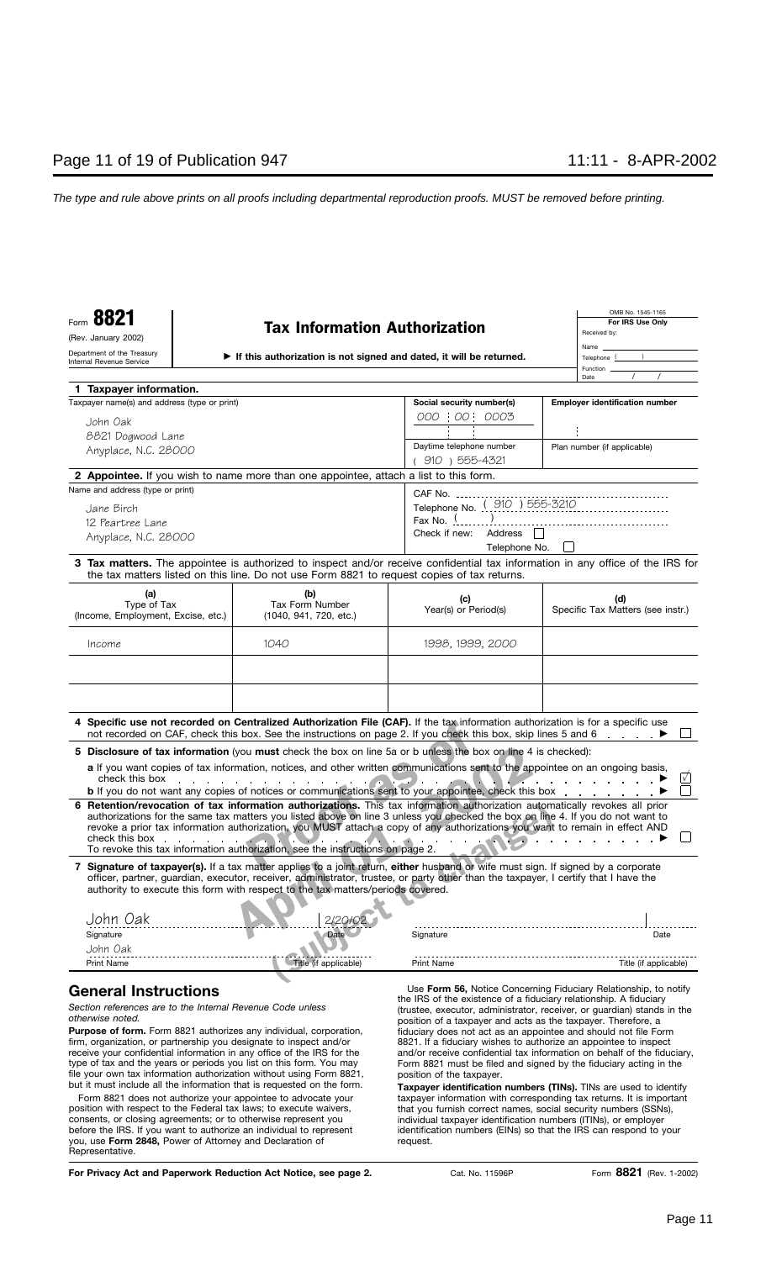- **If this authorization is not signed and dated, it will be returned.**

| OMB No. 1545-1165 |  |  |  |
|-------------------|--|--|--|
| For IRS Use Only  |  |  |  |
| Received by:      |  |  |  |
| Name              |  |  |  |
| Telephone 1       |  |  |  |
| Function          |  |  |  |
| Date              |  |  |  |

| 1 Taxpayer information.                                                                                                                                                                                                                                                                                                                                        |                                                                                                                                                                                                                                                                                                                                                |                                                                   |                                                                         |
|----------------------------------------------------------------------------------------------------------------------------------------------------------------------------------------------------------------------------------------------------------------------------------------------------------------------------------------------------------------|------------------------------------------------------------------------------------------------------------------------------------------------------------------------------------------------------------------------------------------------------------------------------------------------------------------------------------------------|-------------------------------------------------------------------|-------------------------------------------------------------------------|
| Taxpayer name(s) and address (type or print)                                                                                                                                                                                                                                                                                                                   |                                                                                                                                                                                                                                                                                                                                                | Social security number(s)                                         | <b>Employer identification number</b>                                   |
| John Oak                                                                                                                                                                                                                                                                                                                                                       |                                                                                                                                                                                                                                                                                                                                                | 000 : 00 : 0003                                                   |                                                                         |
| 8821 Dogwood Lane                                                                                                                                                                                                                                                                                                                                              |                                                                                                                                                                                                                                                                                                                                                |                                                                   |                                                                         |
| Anyplace, N.C. 28000                                                                                                                                                                                                                                                                                                                                           |                                                                                                                                                                                                                                                                                                                                                | Daytime telephone number                                          | Plan number (if applicable)                                             |
|                                                                                                                                                                                                                                                                                                                                                                |                                                                                                                                                                                                                                                                                                                                                | (910) 555-4321                                                    |                                                                         |
| 2 Appointee. If you wish to name more than one appointee, attach a list to this form.                                                                                                                                                                                                                                                                          |                                                                                                                                                                                                                                                                                                                                                |                                                                   |                                                                         |
| Name and address (type or print)                                                                                                                                                                                                                                                                                                                               |                                                                                                                                                                                                                                                                                                                                                | CAF No.                                                           |                                                                         |
| Jane Birch                                                                                                                                                                                                                                                                                                                                                     |                                                                                                                                                                                                                                                                                                                                                | Telephone No. ( 910 ) 555-3210                                    |                                                                         |
| 12 Peartree Lane                                                                                                                                                                                                                                                                                                                                               |                                                                                                                                                                                                                                                                                                                                                | Fax No. $\frac{1}{2}$                                             |                                                                         |
| Anyplace, N.C. 28000                                                                                                                                                                                                                                                                                                                                           |                                                                                                                                                                                                                                                                                                                                                | Check if new:<br>Address                                          |                                                                         |
|                                                                                                                                                                                                                                                                                                                                                                |                                                                                                                                                                                                                                                                                                                                                | Telephone No.                                                     |                                                                         |
| 3 Tax matters. The appointee is authorized to inspect and/or receive confidential tax information in any office of the IRS for                                                                                                                                                                                                                                 | the tax matters listed on this line. Do not use Form 8821 to request copies of tax returns.                                                                                                                                                                                                                                                    |                                                                   |                                                                         |
| (a)                                                                                                                                                                                                                                                                                                                                                            | (b)                                                                                                                                                                                                                                                                                                                                            | (c)                                                               | (d)                                                                     |
| Type of Tax                                                                                                                                                                                                                                                                                                                                                    | Tax Form Number                                                                                                                                                                                                                                                                                                                                | Year(s) or Period(s)                                              | Specific Tax Matters (see instr.)                                       |
| (Income, Employment, Excise, etc.)                                                                                                                                                                                                                                                                                                                             | (1040, 941, 720, etc.)                                                                                                                                                                                                                                                                                                                         |                                                                   |                                                                         |
| Income                                                                                                                                                                                                                                                                                                                                                         | 1040                                                                                                                                                                                                                                                                                                                                           | 1998, 1999, 2000                                                  |                                                                         |
|                                                                                                                                                                                                                                                                                                                                                                |                                                                                                                                                                                                                                                                                                                                                |                                                                   |                                                                         |
|                                                                                                                                                                                                                                                                                                                                                                |                                                                                                                                                                                                                                                                                                                                                |                                                                   |                                                                         |
|                                                                                                                                                                                                                                                                                                                                                                |                                                                                                                                                                                                                                                                                                                                                |                                                                   |                                                                         |
|                                                                                                                                                                                                                                                                                                                                                                |                                                                                                                                                                                                                                                                                                                                                |                                                                   |                                                                         |
|                                                                                                                                                                                                                                                                                                                                                                |                                                                                                                                                                                                                                                                                                                                                |                                                                   |                                                                         |
| 4 Specific use not recorded on Centralized Authorization File (CAF). If the tax information authorization is for a specific use                                                                                                                                                                                                                                | not recorded on CAF, check this box. See the instructions on page 2. If you check this box, skip lines 5 and 6                                                                                                                                                                                                                                 |                                                                   |                                                                         |
| 5 Disclosure of tax information (you must check the box on line 5a or b unless the box on line 4 is checked):                                                                                                                                                                                                                                                  |                                                                                                                                                                                                                                                                                                                                                |                                                                   |                                                                         |
|                                                                                                                                                                                                                                                                                                                                                                | a If you want copies of tax information, notices, and other written communications sent to the appointee on an ongoing basis,                                                                                                                                                                                                                  |                                                                   |                                                                         |
| check this box                                                                                                                                                                                                                                                                                                                                                 | the contract of the contract of the contract of the                                                                                                                                                                                                                                                                                            |                                                                   | $\sqrt{}$                                                               |
|                                                                                                                                                                                                                                                                                                                                                                | <b>b</b> If you do not want any copies of notices or communications sent to your appointee, check this box                                                                                                                                                                                                                                     |                                                                   |                                                                         |
| 6 Retention/revocation of tax information authorizations. This tax information authorization automatically revokes all prior<br>check this box extensive the state of the state of the state of the state of the state of the state of the state of the state of the state of the state of the state of the state of the state of the state of the state of th | authorizations for the same tax matters you listed above on line 3 unless you checked the box on line 4. If you do not want to<br>revoke a prior tax information authorization, you MUST attach a copy of any authorizations you want to remain in effect AND<br>To revoke this tax information authorization, see the instructions on page 2. |                                                                   |                                                                         |
| 7 Signature of taxpayer(s). If a tax matter applies to a joint return, either husband or wife must sign. If signed by a corporate                                                                                                                                                                                                                              | officer, partner, guardian, executor, receiver, administrator, trustee, or party other than the taxpayer, I certify that I have the<br>authority to execute this form with respect to the tax matters/periods covered.                                                                                                                         |                                                                   |                                                                         |
| John Oak                                                                                                                                                                                                                                                                                                                                                       |                                                                                                                                                                                                                                                                                                                                                |                                                                   |                                                                         |
| Signature                                                                                                                                                                                                                                                                                                                                                      | Date                                                                                                                                                                                                                                                                                                                                           | Signature                                                         | Date                                                                    |
| John Oak                                                                                                                                                                                                                                                                                                                                                       |                                                                                                                                                                                                                                                                                                                                                |                                                                   |                                                                         |
| <b>Print Name</b>                                                                                                                                                                                                                                                                                                                                              | Title (if applicable)                                                                                                                                                                                                                                                                                                                          | <b>Print Name</b>                                                 | Title (if applicable)                                                   |
|                                                                                                                                                                                                                                                                                                                                                                |                                                                                                                                                                                                                                                                                                                                                |                                                                   |                                                                         |
| <b>General Instructions</b>                                                                                                                                                                                                                                                                                                                                    |                                                                                                                                                                                                                                                                                                                                                | the IRS of the existence of a fiduciary relationship. A fiduciary | Use Form 56, Notice Concerning Fiduciary Relationship, to notify        |
| Section references are to the Internal Revenue Code unless<br>otherwise noted.                                                                                                                                                                                                                                                                                 |                                                                                                                                                                                                                                                                                                                                                | position of a taxpayer and acts as the taxpayer. Therefore, a     | (trustee, executor, administrator, receiver, or guardian) stands in the |
| <b>Purpose of form.</b> Form 8821 authorizes any individual, corporation,                                                                                                                                                                                                                                                                                      |                                                                                                                                                                                                                                                                                                                                                | fiduciary does not act as an appointee and should not file Form   |                                                                         |
| firm, organization, or partnership you designate to inspect and/or                                                                                                                                                                                                                                                                                             |                                                                                                                                                                                                                                                                                                                                                | 8821. If a fiduciary wishes to authorize an appointee to inspect  |                                                                         |
| receive your confidential information in any office of the IRS for the                                                                                                                                                                                                                                                                                         |                                                                                                                                                                                                                                                                                                                                                | Form 8821 must be filed and signed by the fiduciary acting in the | and/or receive confidential tax information on behalf of the fiduciary, |
|                                                                                                                                                                                                                                                                                                                                                                | type of tax and the years or periods you list on this form. You may<br>file your own tax information authorization without using Form 8821,<br>position of the taxpayer.                                                                                                                                                                       |                                                                   |                                                                         |

**Taxpayer identification numbers (TINs).** TINs are used to identify taxpayer information with corresponding tax returns. It is important that you furnish correct names, social security numbers (SSNs), individual taxpayer identification numbers (ITINs), or employer identification numbers (EINs) so that the IRS can respond to your request.

| For Privacy Act and Paperwork Reduction Act Notice, see page 2. |  |  |  |  |  |  |  |
|-----------------------------------------------------------------|--|--|--|--|--|--|--|
|-----------------------------------------------------------------|--|--|--|--|--|--|--|

Representative.

but it must include all the information that is requested on the form. Form 8821 does not authorize your appointee to advocate your position with respect to the Federal tax laws; to execute waivers, consents, or closing agreements; or to otherwise represent you before the IRS. If you want to authorize an individual to represent you, use **Form 2848,** Power of Attorney and Declaration of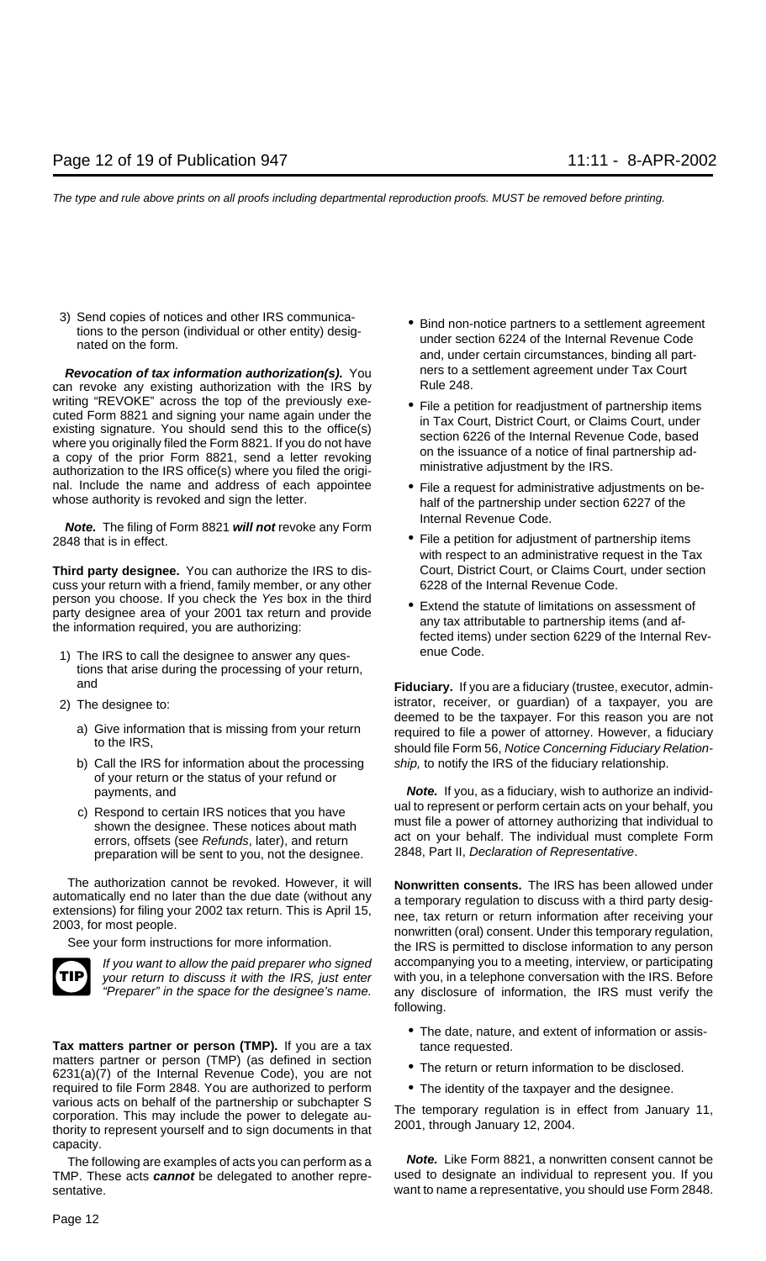3) Send copies of notices and other IRS communica-<br>tions to the person (individual or other entity) desig-<br>nated on the form.<br> $\bullet$  Bind non-notice partners to a settlement agreement<br>under section 6224 of the Internal Reven

**Revocation of tax information authorization(s).** You ners to a settlement agreement under Tax Court no revoke any existing authorization with the IRS by Rule 248. can revoke any existing authorization with the IRS by writing "REVOKE" across the top of the previously executed Form 8821 and signing your name again under the existing signature. You should send this to the office(s) where you originally filed the Form 8821. If you do not h nal. Include the name and address of each appointee • File a request for administrative adjustments on be-<br>whose authority is revoked and sign the letter. half of the partnership under section 6227 of the

Internal Revenue Code. **Note.** The filing of Form 8821 **will not** revoke any Form 2848 that is in effect. **• File a petition for adjustment of partnership items** 

**Third party designee.** You can authorize the IRS to dis-<br>Court, District Court, or Claims Court, under section cuss your return with a friend, family member, or any other 6228 of the Internal Revenue Code.<br>
person you choose. If you check the Yes box in the third

- 1) The IRS to call the designee to answer any ques-<br> **1** The IRS to call the designee to answer any questions that arise during the processing of your return,
- -
	- b) Call the IRS for information about the processing ship, to notify the IRS of the fiduciary relationship. of your return or the status of your refund or
	- preparation will be sent to you, not the designee.

The authorization cannot be revoked. However, it will **Nonwritten consents.** The IRS has been allowed under automatically end no later than the due date (without any a temporary requlation to discuss with a third party des



**Tax matters partner or person (TMP).** If you are a tax tance requested.<br>matters partner or person (TMP) (as defined in section matters partner or person (TMP) (as defined in section **•** The return or return information to be disclosed.<br>6231(a)(7) of the Internal Revenue Code), you are not required to file Form 2848. You are authorized to perform • The identity of the taxpayer and the designee.<br>various acts on behalf of the partnership or subchapter S corporation. This may include the power to delegate au-<br>the temporary regulation is in effect from January 11,<br>thority to represent yourself and to sign documents in that 2001, through January 12, 2004. capacity.

TMP. These acts **cannot** be delegated to another repre- used to designate an individual to represent you. If you sentative. want to name a representative, you should use Form 2848.

- and, under certain circumstances, binding all part-
- 
- 
- with respect to an administrative request in the Tax
- person you choose. If you check the 7cs box in the time<br>party designee area of your 2001 tax return and provide<br>the information required, you are authorizing:<br>fected items) under section 6229 of the Internal Rev-

and **Fiduciary.** If you are a fiduciary (trustee, executor, admin-2) The designee to: istrator, receiver, or guardian) of a taxpayer, you are and istrator and istrator, receiver, or guardian) of a taxpayer, you are not a) Give information that is missing from your return required to file a power of attorney. However, a fiduciary<br>should file Form 56, Notice Concerning Fiduciary Relation-

payments, and **Note.** If you, as a fiduciary, wish to authorize an individc) Respond to certain IRS notices that you have ual to represent or perform certain acts on your behalf, you shown the designee. These notices about math shown the designee. These notices about math errors, offsets (see Refunds, later), and return act on your behalf. The individual must complete Form preparation will be sent to you, not the designee. 2848, Part II, Declaration of Representative.

a temporary regulation to discuss with a third party desig-<br>extensions) for filing your 2002 tax return. This is April 15,<br>2003, for most people.<br>See your form instructions for more information.<br>See your form instructions If you want to allow the paid preparer who signed accompanying you to a meeting, interview, or participating your return to discuss it with the IRS, just enter with you, in a telephone conversation with the IRS. Before "Preparer" in the space for the designee's name. any disclosure of information, the IRS must verify the following.

- The date, nature, and extent of information or assis-
- 
- 

The following are examples of acts you can perform as a **Note.** Like Form 8821, a nonwritten consent cannot be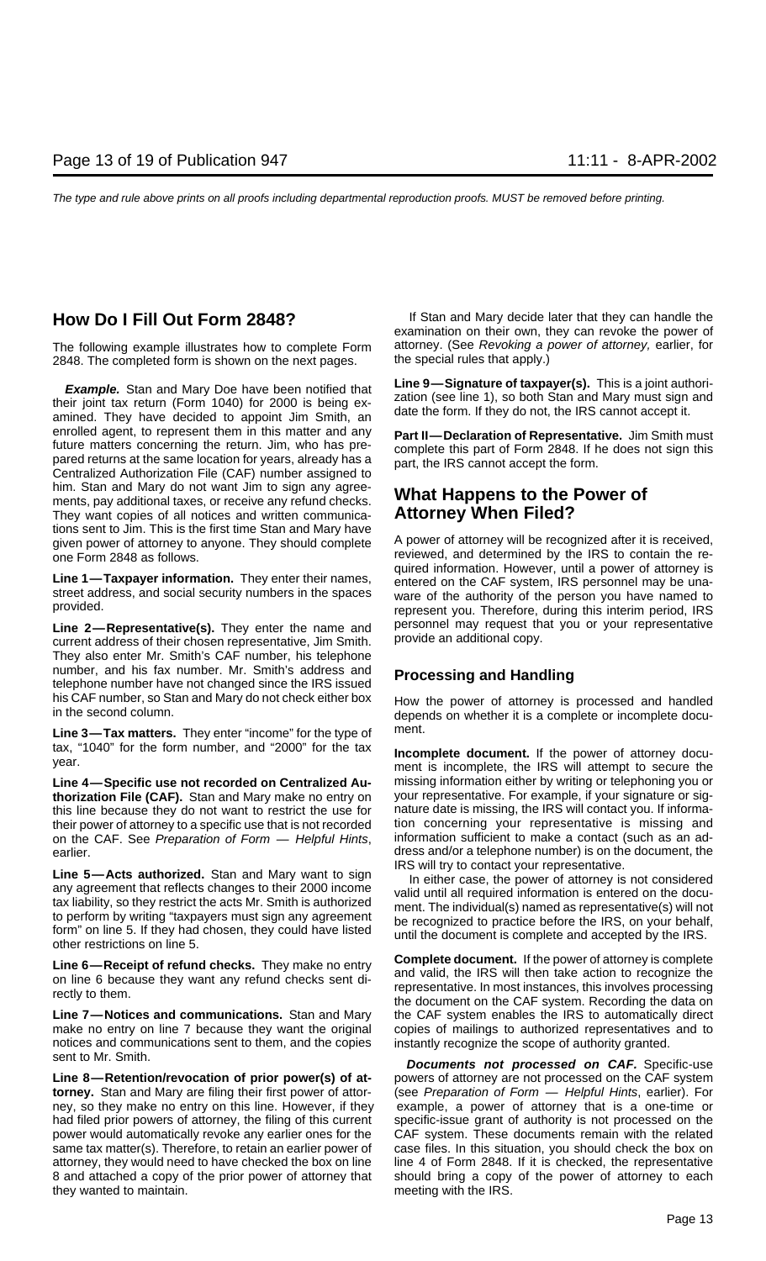The following example illustrates how to complete Form attorney. (See Revoking a power of attorney, earlier, for<br>2848. The completed form is shown on the next pages. The special rules that apply.) 2848. The completed form is shown on the next pages.

**Example.** Stan and Mary Doe have been notified that Line 9—Signature of taxpayer(s). This is a joint authoritheir joint tax return (Form 1040) for 2000 is being ex-<br>amined. They have decided to appoint Jim Smith, an date enrolled agent, to represent them in this matter and any **Part II—Declaration of Representative.** Jim Smith must<br>future matters concerning the return. Jim, who has pre-<br>complete this part of Form 2848. If he does not sign Tuture matters concerning the return. Jim, who has pre-<br>pared returns at the same location for years, already has a<br>Centralized Authorization File (CAF) number assigned to him. Stan and Mary do not want Jim to sign any agreements, pay additional taxes, or receive any refund checks. **What Happens to the Power of** They want copies of all notices and written communica-<br>They want copies of all notices and written communica-<br>**Attorney When Filed?** They want copies of all notices and written communications sent to Jim. This is the first time Stan and Mary have given power of attorney to anyone. They should complete A power of attorney will be recognized after it is received,

current address of their chosen representative, Jim Smith. They also enter Mr. Smith's CAF number, his telephone number, and his fax number. Mr. Smith's address and **Processing and Handling** telephone number have not changed since the IRS issued

Line 3—Tax matters. They enter "income" for the type of ment. tax, "1040" for the form number, and "2000" for the tax **Incomplete document.** If the power of attorney docu-<br>ment is incomplete, the IRS will attempt to secure the

Line 4—Specific use not recorded on Centralized Au-<br>
thorization File (CAF), Stan and Mary make no entry on your representative. For example, if your signature or sig**thorization File (CAF).** Stan and Mary make no entry on this line because they do not want to restrict the use for nature date is missing, the IRS will contact you. If informa-<br>their power of attorney to a specific use that is not recorded tion concerning your representative is their power of attorney to a specific use that is not recorded on the CAF. See Preparation of Form — Helpful Hints, information sufficient to make a contact (such as an ad-

**Line 5—Acts authorized.** Stan and Mary want to sign<br>any agreement that reflects changes to their 2000 income<br>tax liability, so they restrict the acts Mr. Smith is authorized<br>to perform by writing "taxpayers must sign any

**Line 7—Notices and communications.** Stan and Mary the CAF system enables the IRS to automatically direct make no entry on line 7 because they want the original copies of mailings to authorized representatives and to notices and communications sent to them, and the copies instantly recognize the scope of authority granted.

**Line 8—Retention/revocation of prior power(s) of at-** powers of attorney are not processed on the CAF system **torney.** Stan and Mary are filing their first power of attor- (see Preparation of Form — Helpful Hints, earlier). For ney, so they make no entry on this line. However, if they example, a power of attorney that is a one-time or had filed prior powers of attorney, the filing of this current specific-issue grant of authority is not processed on the power would automatically revoke any earlier ones for the CAF system. These documents remain with the related same tax matter(s). Therefore, to retain an earlier power of case files. In this situation, you should check the box on attorney, they would need to have checked the box on line line 4 of Form 2848. If it is checked, the representative 8 and attached a copy of the prior power of attorney that should bring a copy of the power of attorney to each they wanted to maintain. The same of the IRS. The meeting with the IRS.

**How Do I Fill Out Form 2848?** If Stan and Mary decide later that they can handle the examination on their own, they can revoke the power of

one Form 2848 as follows.<br>
reviewed, and determined by the IRS to contain the re-<br>
quired information. However, until a power of attorney is Line 1—Taxpayer information. They enter their names,<br>street address, and social security numbers in the spaces<br>provided.<br>provided.<br>represent you. Therefore, during this interim period, IRS Line 2—Representative(s). They enter the name and personnel may request that you or your representative current address of their chosen representative lim Smith provide an additional copy.

his CAF number, so Stan and Mary do not check either box How the power of attorney is processed and handled in the second column.

earlier.<br>
arlier. dress and/or a telephone number) is on the document, the<br>
IRS will try to contact your representative.

Line 6—Receipt of refund checks. They make no entry<br>on line 6 because they want any refund checks sent di-<br>rectly to them.<br>the Secause they want any refund checks sent di-<br>rectly to them.<br>the document on the CAF system. Re

sent to Mr. Smith. **Documents not processed on CAF.** Specific-use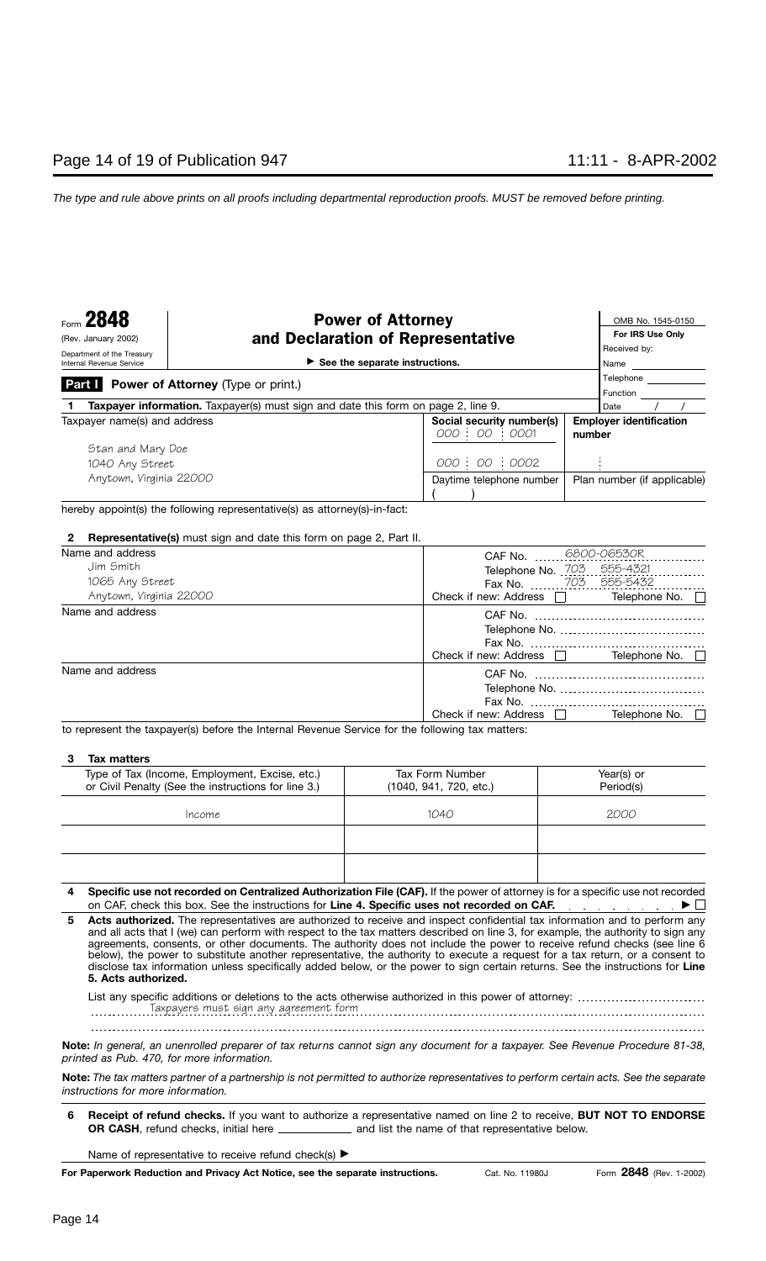### **Power of Attorney Demand Account 1545-0150** (Rev. January 2002) **and Declaration of Representative**

**For IRS Use Only**

| Department of the Treasury                                                  |  |                                                                                          | Received by:                   |
|-----------------------------------------------------------------------------|--|------------------------------------------------------------------------------------------|--------------------------------|
| $\triangleright$ See the separate instructions.<br>Internal Revenue Service |  |                                                                                          | Name                           |
| Part I                                                                      |  |                                                                                          | Telephone                      |
| <b>Power of Attorney</b> (Type or print.)                                   |  | Function                                                                                 |                                |
|                                                                             |  | <b>Taxpayer information.</b> Taxpayer(s) must sign and date this form on page 2, line 9. | Date                           |
| Taxpayer name(s) and address                                                |  | Social security number(s)                                                                | <b>Employer identification</b> |
|                                                                             |  | 000 : 00 : 0001                                                                          | number                         |
| Stan and Mary Doe                                                           |  |                                                                                          |                                |
| 1040 Any Street                                                             |  | 000 : 00 : 0002                                                                          |                                |
| Anytown, Virginia 22000                                                     |  | Daytime telephone number                                                                 | Plan number (if applicable)    |
|                                                                             |  |                                                                                          |                                |

hereby appoint(s) the following representative(s) as attorney(s)-in-fact:

### **2 Representative(s)** must sign and date this form on page 2, Part II.

| Name and address<br>Jim Smith<br>1065 Any Street | CAF No. 6800-06530R<br>555-4321<br>Telephone No. 703.<br>Fax No. 703 555-5432 |
|--------------------------------------------------|-------------------------------------------------------------------------------|
| Anytown, Virginia 22000                          | Telephone No.<br>Check if new: Address $\Box$                                 |
| Name and address                                 | Telephone No.<br>Check if new: Address                                        |
| Name and address                                 | Telephone No.<br>Check if new: Address                                        |

to represent the taxpayer(s) before the Internal Revenue Service for the following tax matters:

### **3 Tax matters**

| Type of Tax (Income, Employment, Excise, etc.)<br>or Civil Penalty (See the instructions for line 3.) | Tax Form Number<br>(1040, 941, 720, etc.) | Year(s) or<br>Period(s) |
|-------------------------------------------------------------------------------------------------------|-------------------------------------------|-------------------------|
| Income                                                                                                | 1040                                      | 2000                    |
|                                                                                                       |                                           |                         |
|                                                                                                       |                                           |                         |

| 4 Specific use not recorded on Centralized Authorization File (CAF). If the power of attorney is for a specific use not recorded |
|----------------------------------------------------------------------------------------------------------------------------------|
| on CAF, check this box. See the instructions for Line 4. Specific uses not recorded on CAF.                                      |

**Acts authorized.** The representatives are authorized to receive and inspect confidential tax information and to perform any and all acts that I (we) can perform with respect to the tax matters described on Iine 3, for example, the authority to sign any agreements, consents, or other documents. The authority does not include the power to receive refund checks (see line 6 below), the power to substitute another representative, the authority to execute a request for a tax return, or a consent to disclose tax information unless specifically added below, or the power to sign certain returns. See the instructions for **Line 5. Acts authorized. 5**

Taxpayers must sign any agreement form List any specific additions or deletions to the acts otherwise authorized in this power of attorney:

**Note:** *In general, an unenrolled preparer of tax returns cannot sign any document for a taxpayer. See Revenue Procedure 81-38, printed as Pub. 470, for more information.*

**Note:** *The tax matters partner of a partnership is not permitted to authorize representatives to perform certain acts. See the separate instructions for more information.*

**6 Receipt of refund checks.** If you want to authorize a representative named on Iine 2 to receive, **BUT NOT TO ENDORSE OR CASH**, refund checks, initial here **constantled and list the name of that representative below.** 

Name of representative to receive refund check(s)  $\blacktriangleright$ 

**For Paperwork Reduction and Privacy Act Notice, see the separate instructions.**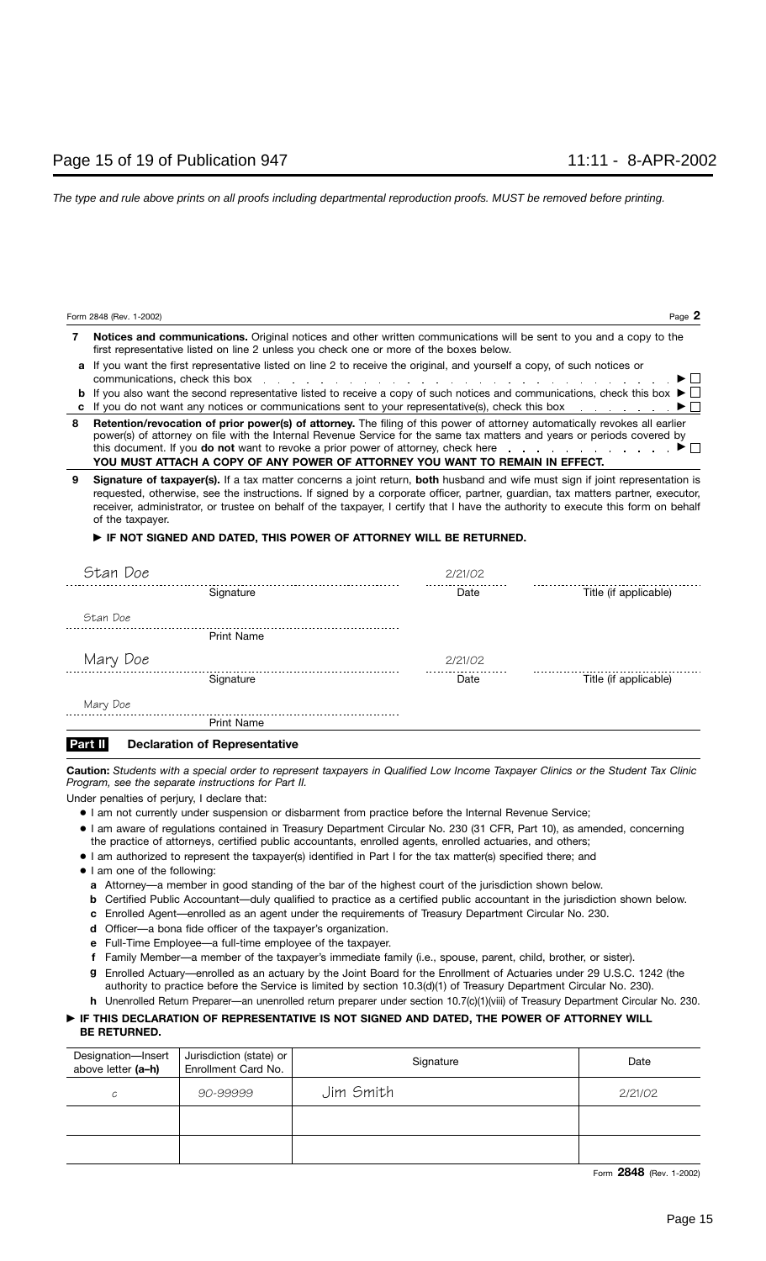|   | <b>Notices and communications.</b> Original notices and other written communications will be sent to you and a copy to the<br>first representative listed on line 2 unless you check one or more of the boxes below.                                                                                                                                                                                                                                                    |
|---|-------------------------------------------------------------------------------------------------------------------------------------------------------------------------------------------------------------------------------------------------------------------------------------------------------------------------------------------------------------------------------------------------------------------------------------------------------------------------|
|   | a If you want the first representative listed on line 2 to receive the original, and yourself a copy, of such notices or<br>$\blacktriangleright$ $\Box$<br>communications, check this box response to the contract of the contract of the contract of the contract of the contract of the contract of the contract of the contract of the contract of the contract of the contract of the                                                                              |
|   | <b>b</b> If you also want the second representative listed to receive a copy of such notices and communications, check this box $\blacktriangleright$ $\Box$                                                                                                                                                                                                                                                                                                            |
|   | c If you do not want any notices or communications sent to your representative(s), check this box $\Box$                                                                                                                                                                                                                                                                                                                                                                |
| 8 | Retention/revocation of prior power(s) of attorney. The filing of this power of attorney automatically revokes all earlier<br>power(s) of attorney on file with the Internal Revenue Service for the same tax matters and years or periods covered by<br>this document. If you <b>do not</b> want to revoke a prior power of attorney, check here $\ldots$ , $\ldots$ , $\blacksquare$<br>YOU MUST ATTACH A COPY OF ANY POWER OF ATTORNEY YOU WANT TO REMAIN IN EFFECT. |
| 9 | <b>Signature of taxpaver(s).</b> If a tax matter concerns a joint return, <b>both</b> husband and wife must sign if joint representation is                                                                                                                                                                                                                                                                                                                             |

**Signature of taxpayer(s).** If a tax matter concerns a joint return, **both** husband and wife must sign if joint representation is requested, otherwise, see the instructions. If signed by a corporate officer, partner, guardian, tax matters partner, executor, receiver, administrator, or trustee on behalf of the taxpayer, I certify that I have the authority to execute this form on behalf of the taxpayer. **9**

### - **IF NOT SIGNED AND DATED, THIS POWER OF ATTORNEY WILL BE RETURNED.**

| Date    | Title (if applicable) |
|---------|-----------------------|
|         |                       |
|         |                       |
| 2/21/02 |                       |
|         |                       |
|         |                       |
| Date    | Title (if applicable) |
| 2/21/02 |                       |
|         |                       |

### **Declaration of Representative Part II**

**Caution:** *Students with a special order to represent taxpayers in Qualified Low Income Taxpayer Clinics or the Student Tax Clinic Program, see the separate instructions for Part II.*

Under penalties of perjury, I declare that:

- I am not currently under suspension or disbarment from practice before the Internal Revenue Service;
- I am aware of regulations contained in Treasury Department Circular No. 230 (31 CFR, Part 10), as amended, concerning the practice of attorneys, certified public accountants, enrolled agents, enrolled actuaries, and others;
- I am authorized to represent the taxpayer(s) identified in Part I for the tax matter(s) specified there; and
- I am one of the following:
	- **a** Attorney—a member in good standing of the bar of the highest court of the jurisdiction shown below.
	- **b** Certified Public Accountant—duly qualified to practice as a certified public accountant in the jurisdiction shown below.
	- **c** Enrolled Agent—enrolled as an agent under the requirements of Treasury Department Circular No. 230.
	- **d** Officer—a bona fide officer of the taxpayer's organization.
	- **e** Full-Time Employee—a full-time employee of the taxpayer.
	- **f** Family Member—a member of the taxpayer's immediate family (i.e., spouse, parent, child, brother, or sister).
	- Enrolled Actuary—enrolled as an actuary by the Joint Board for the Enrollment of Actuaries under 29 U.S.C. 1242 (the **g** authority to practice before the Service is limited by section 10.3(d)(1) of Treasury Department Circular No. 230).
	- **h** Unenrolled Return Preparer—an unenrolled return preparer under section 10.7(c)(1)(viii) of Treasury Department Circular No. 230.

### - **IF THIS DECLARATION OF REPRESENTATIVE IS NOT SIGNED AND DATED, THE POWER OF ATTORNEY WILL BE RETURNED.**

| Designation-Insert<br>above letter (a-h) | Jurisdiction (state) or<br>Enrollment Card No. | Signature | Date    |
|------------------------------------------|------------------------------------------------|-----------|---------|
| C                                        | 90-99999                                       | Jim Smith | 2/21/02 |
|                                          |                                                |           |         |
|                                          |                                                |           |         |

Form **2848** (Rev. 1-2002)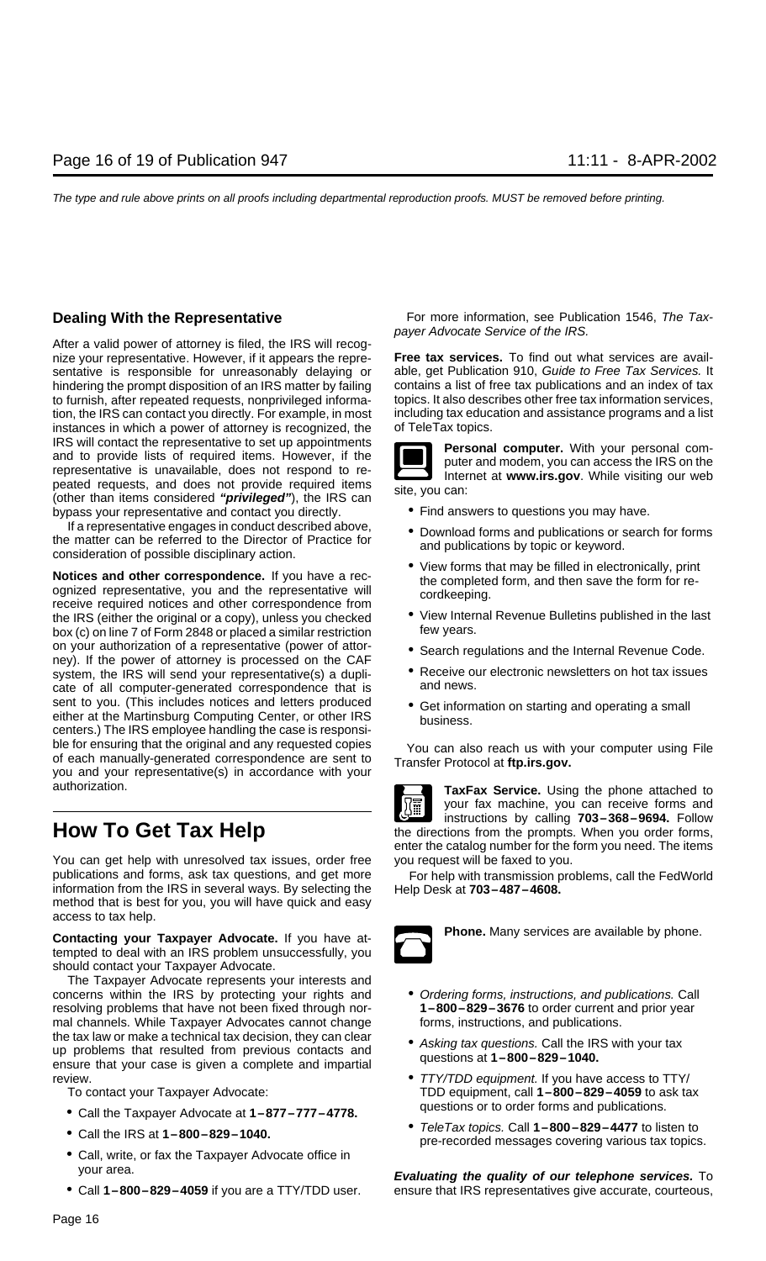After a valid power of attorney is filed, the IRS will recognize your representative. However, if it appears the repre- **Free tax services.** To find out what services are availsentative is responsible for unreasonably delaying or able, get Publication 910, Guide to Free Tax Services. It hindering the prompt disposition of an IRS matter by failing contains a list of free tax publications and an index of tax to furnish, after repeated requests, nonprivileged informa-<br>tion, the IRS can contact you directly. For example, in most<br>including tax education and assistance programs and a list tion, the IRS can contact you directly. For example, in most instances in which a power of attorney is recognized, the of TeleTax topics. IRS will contact the representative to set up appointments<br>and to provide lists of required items. However, if the<br>representative is unavailable, does not respond to re-<br>peated requests, and does not provide required items (other than items considered "**privileged**"), the IRS can<br>bypass your representative and contact you directly. • Find answers to questions you may have.

If a representative engages in conduct described above,<br>the matter can be referred to the Director of Practice for<br>consideration of possible disciplinary action.<br>and publications by topic or keyword.

**Notices and other correspondence.** If you have a rec-<br>ognized representative, you and the representative will<br>receive required notices and other correspondence from<br>the IRS (either the original or a copy), unless you chec the IRS (either the original or a copy), unless you checked • View Interibox (c) on line 7 of Form 2848 or placed a similar restriction few years. on your authorization of a representative (power of attor-<br>
ney). If the power of attorney is processed on the CAF<br>
system, the IRS will send your representative(s) a dupli-<br>
CRECEIVE our electronic newsletters on hot tax system, the IRS will send your representative(s) a dupli-  $\bullet$  Receive our cate of all computer-generated correspondence that is and news. cate of all computer-generated correspondence that is sent to you. (This includes notices and letters produced • Get information on starting and operating a small either at the Martinsburg Computing Center, or other IRS centers.) The IRS employee handling the case is responsible for ensuring that the original and any requested copies<br>of each manually-generated correspondence are sent to<br>you and your representative(s) in accordance with your<br>you and your representative(s) in accordance with you authorization. **TaxFax Service.** Using the phone attached to

You can get help with unresolved tax issues, order free you request will be faxed to you. publications and forms, ask tax questions, and get more For help with transmission problems, call the FedWorld information from the IRS in several ways. By selecting the Help Desk at **703–487–4608.** method that is best for you, you will have quick and easy access to tax help.

**Contacting your Taxpayer Advocate.** If you have at-<br> **Phone.** Many services are available by phone. tempted to deal with an IRS problem unsuccessfully, you should contact your Taxpayer Advocate.

The Taxpayer Advocate represents your interests and concerns within the IRS by protecting your rights and • Ordering forms, instructions, and publications. Call resolving problems that have not been fixed through nor- **1–800–829–3676** to order current and prior year mal channels. While Taxpayer Advocates cannot change forms, instructions, and publications. the tax law or make a technical tax decision, they can clear<br>up problems that resulted from previous contacts and<br>ensure that your case is given a complete and impartial questions at  $1-800-829-1040$ . review. • TTY/TDD equipment. If you have access to TTY/

- questions or to order forms and publications. Call the Taxpayer Advocate at **1–877–777–4778.**
- 
- Call, write, or fax the Taxpayer Advocate office in
- 

**Dealing With the Representative** For more information, see Publication 1546, The Taxpayer Advocate Service of the IRS.



- 
- 
- 
- 
- 
- 
- 



your fax machine, you can receive forms and **instructions by calling 703–368–9694.** Follow **How To Get Tax Help herefore the directions from the prompts.** When you order forms, enter the catalog number for the form you need. The items



- 
- 
- To contact your Taxpayer Advocate: TDD equipment, call **1–800–829–4059** to ask tax
- TeleTax topics. Call **1–800–829–4477** to listen to Call the IRS at **1–800–829–1040.** pre-recorded messages covering various tax topics.

your area. **Evaluating the quality of our telephone services.** To • Call **1–800–829–4059** if you are a TTY/TDD user. ensure that IRS representatives give accurate, courteous,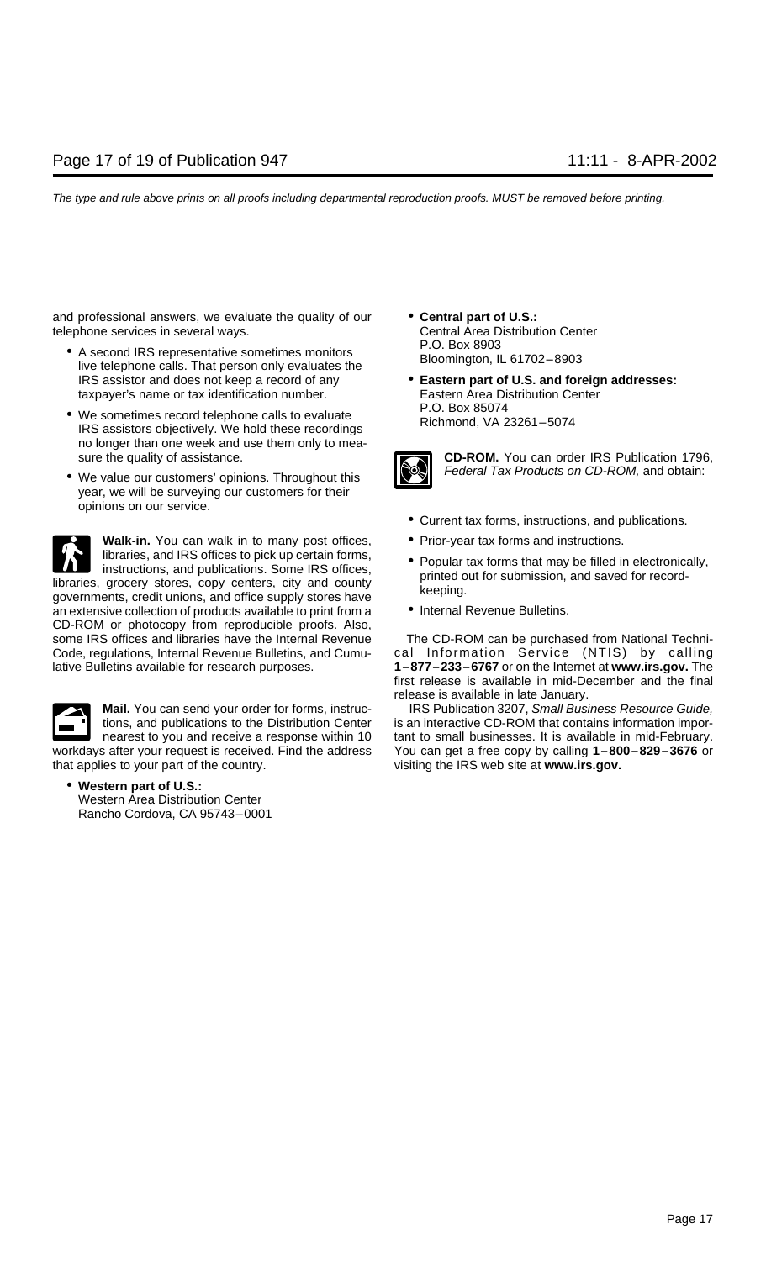and professional answers, we evaluate the quality of our **• Central part of U.S.:**<br>telephone services in several ways.<br>Central Area Distribution Center telephone services in several ways.

- A second IRS representative sometimes monitors F.O. Box 8903<br>live telephone calls. That person only evaluates the Bloomington, IL 61702–8903 IRS assistor and does not keep a record of any **• Eastern part of U.S. and foreign addresses:**<br> **Eastern Area Distribution Center**<br> **Eastern Area Distribution Center** taxpayer's name or tax identification number.
- We sometimes record telephone calls to evaluate P.O. Box 85074<br>IRS assistors objectively. We hold these recordings Richmond, VA 23261–5074 no longer than one week and use them only to mea-
- year, we will be surveying our customers for their opinions on our service.



**Walk-in.** You can walk in to many post offices, <br>libraries, and IRS offices to pick up certain forms, and presidental fame that may be filled in instructions, and no offices to pick up certain forms,<br>instructions, and publications. Some IRS offices,<br>gibraries, grocery stores, copy centers, city and county<br>governments, credit unions, and office supply stores have<br>gi

an extensive collection of products available to print from a • Internal Revenue Bulletins. CD-ROM or photocopy from reproducible proofs. Also, some IRS offices and libraries have the Internal Revenue The CD-ROM can be purchased from National Techni-Code, regulations, Internal Revenue Bulletins, and Cumu- cal Information Service (NTIS) by calling lative Bulletins available for research purposes. **1–877–233–6767** or on the Internet at **www.irs.gov.** The



• **Western part of U.S.:** Western Area Distribution Center Rancho Cordova, CA 95743–0001

- 
- 



sure the quality of assistance.<br>Me value our customers' opinions. Throughout this **CON** Federal Tax Products on CD-ROM, and obtain: • We value our customers' opinions. Throughout this Federal Tax Products on CD-ROM, and obtain:

- Current tax forms, instructions, and publications.
- 
- 
- 

first release is available in mid-December and the final release is available in late January.

**Mail.** You can send your order for forms, instruc-<br>IRS Publication 3207, Small Business Resource Guide, Guide, Guide, and Sen tions, and publications to the Distribution Center is an interactive CD-ROM that contains information impornearest to you and receive a response within 10 tant to small businesses. It is available in mid-February. workdays after your request is received. Find the address You can get a free copy by calling **1–800–829–3676** or that applies to your part of the country. visiting the IRS web site at **www.irs.gov.**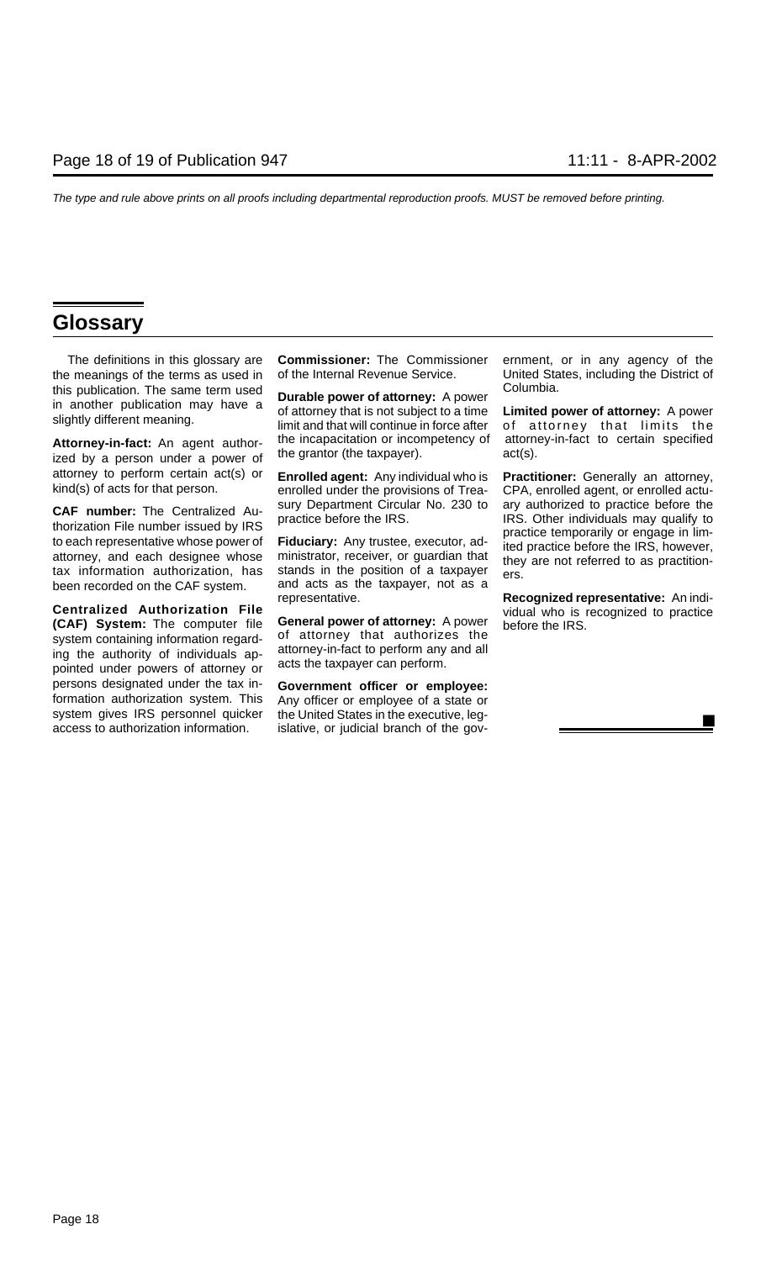## **Glossary**

the meanings of the terms as used in of the Internal Revenue Service. United States, including the District of this publication. The same term used<br>in another publication may have a **Durable power of attorney:** A power<br>slightly different meaning. In the same limit and that will continue in force after of attorney that limits the

ized by a person under a power of attorney to perform certain act(s) or Enrolled agent: Any individual who is Practitioner: Generally an attorney,<br>kind(s) of acts for that person. enrolled under the provisions of Trea- CPA, enrolled agent, or enrolled actu

Centralized Authorization File<br>
(CAF) System: The computer file General power of attorney: A power<br>
system containing information regard-<br>
ing the authority of individuals ap-<br>
pointed under powers of attorney or<br>
acts the persons designated under the tax in- **Government officer or employee:** formation authorization system. This Any officer or employee of a state or access to authorization information. islative, or judicial branch of the gov-

The definitions in this glossary are **Commissioner:** The Commissioner ernment, or in any agency of the

been recorded on the CAF system. and acts as the taxpayer, not as a representative.

the United States in the executive, leg-

**Attorney-in-fact:** An agent author- the incapacitation or incompetency of attorney-in-fact to certain specified ized by a nerson under a nower of the grantor (the taxpayer).

**CAF number:** The Centralized Australized Australized Practice before the IRS. Uther individuals may qualify to<br>thorization File number issued by IRS practice before the IRS. Other individuals may qualify to<br>to each repres

**Recognized representative:** An indi-<br>vidual who is recognized to practice